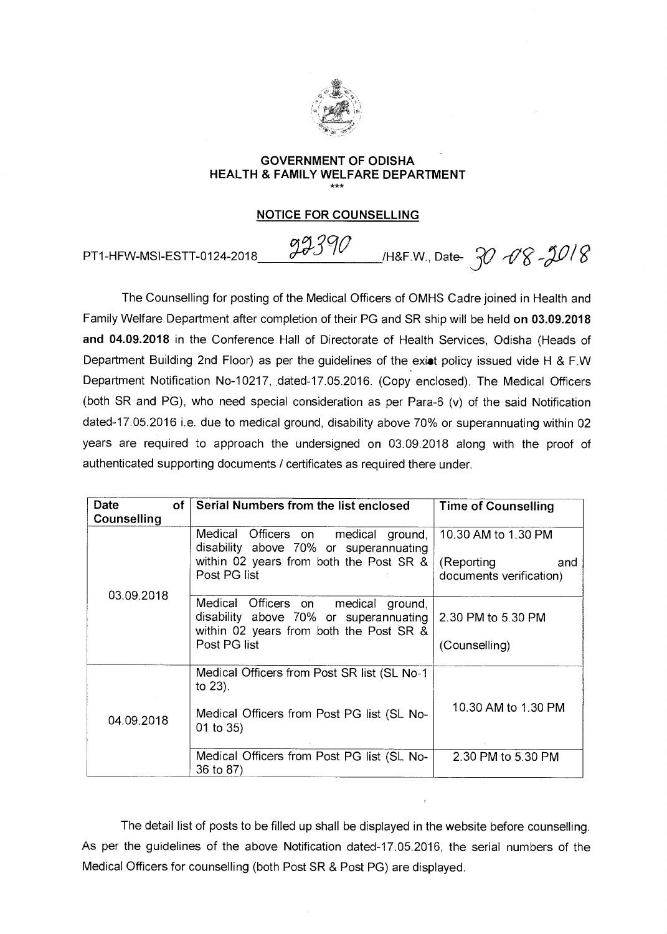

## **GOVERNMENT OF ODISHA HEALTH & FAMILY WELFARE DEPARTMENT**  \*\*\*

### **NOTICE FOR COUNSELLING**

PT1-HFW-MSI-ESTT-0124-2018  $99390$  /H&F.W., Date-  $30$   $08 - 3018$ 

The Counselling for posting of the Medical Officers of OMHS Cadre joined in Health and Family Welfare Department after completion of their PG and SR ship will be held **on 03.09.2018 and 04.09.2018** in the Conference Hall of Directorate of Health Services, Odisha (Heads of Department Building 2nd Floor) as per the guidelines of the exiat policy issued vide H & F.W Department Notification No-10217, dated-17.05.2016. (Copy enclosed). The Medical Officers (both SR and PG), who need special consideration as per Para-6 (v) of the said Notification dated-17.05.2016 i.e. due to medical ground, disability above 70% or superannuating within 02 years are required to approach the undersigned on 03.09.2018 along with the proof of authenticated supporting documents / certificates as required there under.

| оf<br>Date<br>Counselling | Serial Numbers from the list enclosed                                                                                                    | <b>Time of Counselling</b>                                          |
|---------------------------|------------------------------------------------------------------------------------------------------------------------------------------|---------------------------------------------------------------------|
| 03.09.2018                | Medical Officers on medical ground,<br>disability above 70% or superannuating<br>within 02 years from both the Post SR &<br>Post PG list | 10.30 AM to 1.30 PM<br>(Reporting<br>and<br>documents verification) |
|                           | Medical Officers on medical ground,<br>disability above 70% or superannuating<br>within 02 years from both the Post SR &<br>Post PG list | 2.30 PM to 5.30 PM<br>(Counselling)                                 |
| 04.09.2018                | Medical Officers from Post SR list (SL No-1)<br>to $23$ ).<br>Medical Officers from Post PG list (SL No-<br>01 to 35)                    | 10.30 AM to 1.30 PM                                                 |
|                           | Medical Officers from Post PG list (SL No-<br>36 to 87)                                                                                  | 2.30 PM to 5.30 PM                                                  |

The detail list of posts to be filled up shall be displayed in the website before counselling. As per the guidelines of the above Notification dated-17.05.2016, the serial numbers of the Medical Officers for counselling (both Post SR & Post PG) are displayed.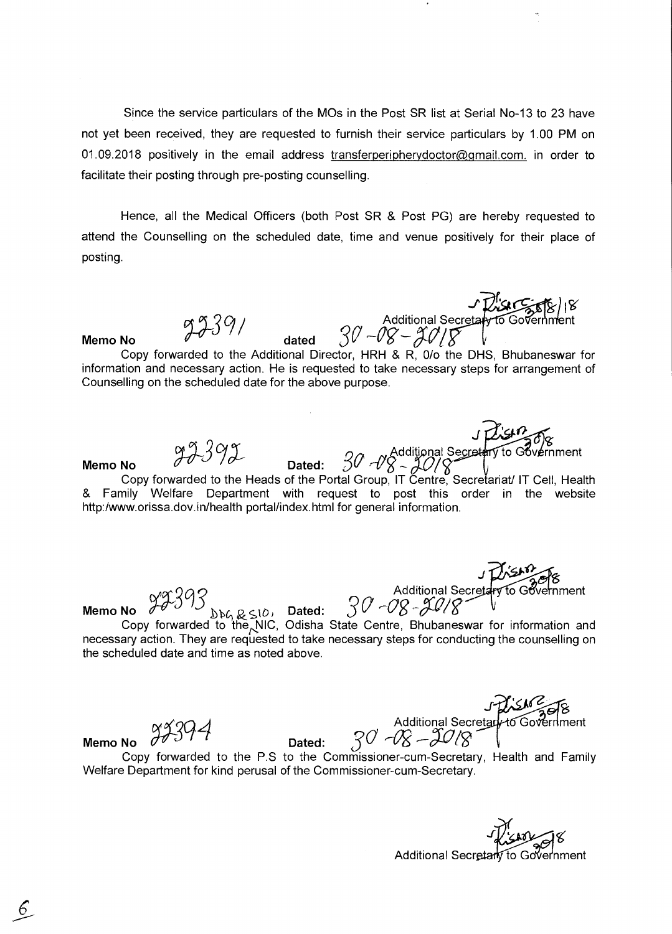Since the service particulars of the MOs in the Post SR list at Serial No-13 to 23 have not yet been received, they are requested to furnish their service particulars by 1.00 PM on 01.09.2018 positively in the email address transferperipherydoctor@gmail.com. in order to facilitate their posting through pre-posting counselling.

Hence, all the Medical Officers (both Post SR & Post PG) are hereby requested to attend the Counselling on the scheduled date, time and venue positively for their place of posting.

**Memo No**  $9939/$  dated Additional Secreta<del>ly to Government</del><br>30 - 08 - 30 | 8<br>tor HRH & R 00 the DHS Bhubaneswar Copy forwarded to the Additional Director, HRH & R, 0/o the DHS, Bhubaneswar for information and necessary action. He is requested to take necessary steps for arrangement of Counselling on the scheduled date for the above purpose. .<br>م• **Memo No**  $\frac{97.392}{}$  Dated:  $30.7\%$  $\begin{array}{ccc} \mathcal{L} & & \mathsf{Additional}\ \mathsf{Dated:} & \mathcal{3O} & \mathcal{NS}\supseteq\mathcal{ON}\mathcal{S} \end{array}$ Copy forwarded to the Heads of the Portal Group, IT Centre, Secretariat/ IT Cell, Health & Family Welfare Department with request to post this order in the website http:/www.orissa.dov.in/health portal/index.html for general information. *a* <sup>J</sup><sup>g</sup> Additional Secre **Memo No 3a** -09g 4Q/ nment to Government

 $77372$  $\Delta\Delta\Omega \approx 10$ , Dated: Copy forwarded to the NIC, Odisha State Centre, Bhubaneswar for information and necessary action. They are requested to take necessary steps for conducting the counselling on the scheduled date and time as noted above. Memo No **1939**<br>
Copy forwarded to the NIC, Odisha State Centre, Bhubaneswar for information and<br>
necessary action. They are requested to take necessary steps for conducting the counselling of<br>
the scheduled date and time a

J Prish<sup>o</sup>zof8 -4 --OR Additional Secret. ---

Copy forwarded to the P.S to the Commissioner-cum-Secretary, Health and Family Welfare Department for kind perusal of the Commissioner-cum-Secretary.

Additional Secretary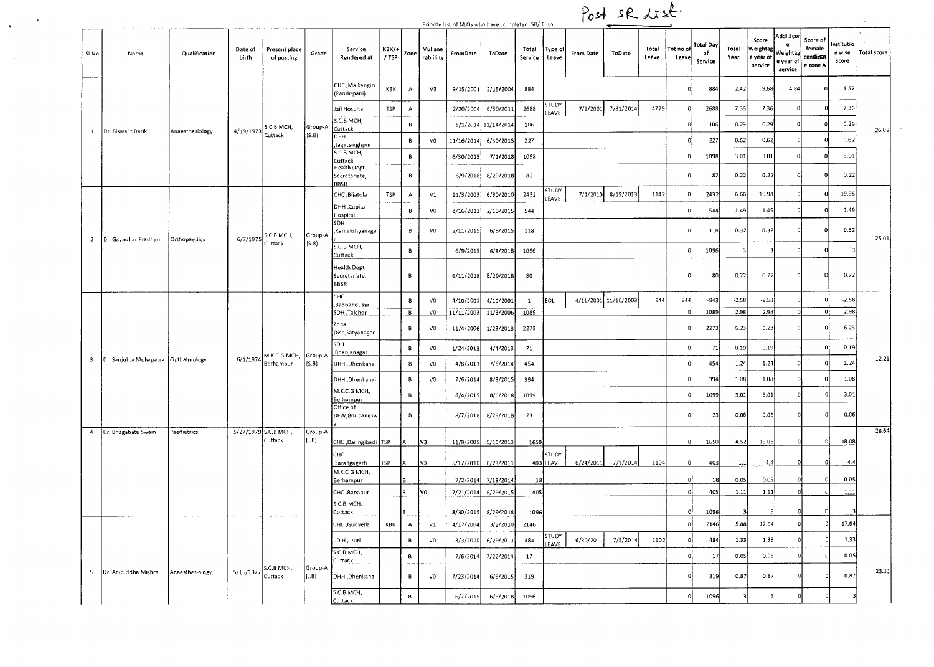|                         |                                       |                 |                     |                                   |                   |                                                    |                       |              |                       |            | Priority List of M.Os who have completed SR/ Tutor |                  |                    |           | Post sR List.        |                |                   |                            |                       |                                           |                                                    |                                            |                               |                    |
|-------------------------|---------------------------------------|-----------------|---------------------|-----------------------------------|-------------------|----------------------------------------------------|-----------------------|--------------|-----------------------|------------|----------------------------------------------------|------------------|--------------------|-----------|----------------------|----------------|-------------------|----------------------------|-----------------------|-------------------------------------------|----------------------------------------------------|--------------------------------------------|-------------------------------|--------------------|
| SI No                   | Name                                  | Qualification   | Date of<br>birth    | Present place<br>of posting       | Grade             | Service<br>Rendered at                             | <b>KBK/+</b><br>/ TSP | Zone         | Vul ane<br>rab ili ty | FromDate   | ToDate                                             | Total<br>Service | Type of<br>Leave   | From Date | ToDate               | Total<br>Leave | Tot no o<br>Leave | Total Day<br>of<br>Service | Total<br>Year         | Score<br>Weightag<br>e vear of<br>service | Addl.Scor<br>e<br>Weightag<br>e year of<br>service | Score of<br>female<br>candidat<br>e zone A | Institutio<br>n wise<br>Score | <b>Total score</b> |
|                         |                                       |                 |                     |                                   |                   | CHC, Malkangiri<br>(Pandripani)                    | KBK                   | A            | V3                    | 9/15/2001  | 2/15/2004                                          | 884              |                    |           |                      |                | o                 | 884                        | 2.42                  | 9.68                                      | 4.84                                               | - 0                                        | 14.52                         |                    |
|                         |                                       |                 |                     |                                   |                   | Jail Hospital                                      | TSP                   | А            |                       | 2/20/2004  | 6/30/2011                                          | 2688             | STUDY<br>LEAVE     | 7/1/2001  | 7/31/2014            | 4779           |                   | 2688                       | 7.36                  | 7.36                                      |                                                    |                                            | 7.36                          |                    |
| $\mathbf{1}$            | Dr. Biswajit Barik                    | Anaesthesiology | 4/19/1973           | S.C.B MCH,                        | Group-A           | S.C.B MCH,<br>Cuttack                              |                       | $\mathsf B$  |                       |            | 8/1/2014 11/14/2014                                | 106              |                    |           |                      |                |                   | 106                        | 0.29                  | 0.29                                      |                                                    |                                            | 0.29                          | 26.02              |
|                         |                                       |                 |                     | Cuttack                           | (S.B)             | онн<br>Jagatsinghpur                               |                       | В            | V <sub>0</sub>        | 11/16/2014 | 6/30/2015                                          | 227              |                    |           |                      |                |                   | 227                        | 0.62                  | 0.62                                      |                                                    |                                            | 0.62                          |                    |
|                         |                                       |                 |                     |                                   |                   | S.C.B MCH,<br>Cuttack                              |                       | $\, {\bf B}$ |                       | 6/30/2015  | 7/1/2018                                           | 1098             |                    |           |                      |                |                   | 1098                       | 3.01                  | 3.01                                      |                                                    |                                            | 3.01                          |                    |
|                         |                                       |                 |                     |                                   |                   | Health Dept<br>Secretariate,<br><b>BBSR</b>        |                       | В            |                       | 6/9/2018   | 8/29/2018                                          | 82               |                    |           |                      |                |                   | 82                         | 0.22                  | 0.22                                      |                                                    | 0                                          | 0.22                          |                    |
|                         |                                       |                 |                     |                                   |                   | CHC, Bijatola                                      | TSP                   | A            | V1                    | 11/3/2003  | 6/30/2010                                          | 2432             | STUDY<br>EAVE.     | 7/1/2010  | 8/15/2013            | 1142           |                   | 2432                       | 6.66                  | 19,98                                     | $\Omega$                                           |                                            | 19.98                         |                    |
|                         |                                       |                 |                     |                                   |                   | DHH ,Capital<br>Hospital                           |                       | В            | V <sub>0</sub>        | 8/16/2013  | 2/10/2015                                          | 544              |                    |           |                      |                |                   | 544                        | 1.49                  | 1.49                                      | 0                                                  |                                            | 1.49                          |                    |
| $\mathbf{Z}$            | Dr. Gayadhar Pradhan                  | Orthopaedics    | 6/7/1975            | S.C.B MCH,                        | Group-A           | SDH<br>Kamakshyanaga                               |                       | В            | V <sub>0</sub>        | 2/11/2015  | 6/8/2015                                           | 118              |                    |           |                      |                |                   | 118                        | 0.32                  | 0.32                                      | $\Omega$                                           | $\mathbf 0$                                | 0.32                          | 25.01              |
|                         |                                       |                 |                     | Cuttack                           | (S.8)             | S.C.B MCH,<br>Cuttack                              |                       | 8            |                       | 6/9/2015   | 6/8/2018                                           | 1096             |                    |           |                      |                |                   | 1096                       |                       |                                           | n                                                  |                                            |                               |                    |
|                         |                                       |                 |                     |                                   |                   | <b>Health Dept</b><br>Secretariate.<br><b>BBSR</b> |                       | В            |                       | 6/11/2018  | 8/29/2018                                          | 80               |                    |           |                      |                | Ð                 | 80                         | 0.22                  | 0.22                                      | $\mathbf{0}$                                       | D                                          | 0.22                          |                    |
|                         |                                       |                 |                     |                                   |                   | CHC<br>,Badpandusar                                |                       | 8            | V <sub>0</sub>        | 4/10/2001  | 4/10/2001                                          | $\mathbf{1}$     | EOL                |           | 4/11/2001 11/10/2003 | 944            | 944               | $-943$                     | $-2.58$               | $-2.58$                                   |                                                    |                                            | $-2.58$                       |                    |
|                         |                                       |                 |                     |                                   |                   | SDH, Talcher                                       |                       | В            | V <sub>0</sub>        | 11/11/2003 | 11/3/2006                                          | 1089             |                    |           |                      |                |                   | 1089                       | 2.98                  | 2.98                                      | $\Omega$                                           |                                            | 2.98                          |                    |
|                         |                                       |                 |                     |                                   |                   | Zonal<br>Disp, Satyanagar                          |                       | В            | V <sub>0</sub>        | 11/4/2006  | 1/23/2013                                          | 2273             |                    |           |                      |                |                   | 2273                       | 6.23                  | 6.23                                      | $\mathbf{0}$                                       |                                            | 6.23                          |                    |
|                         |                                       |                 |                     | M.K.C.G MCH, Group-A              |                   | SDH<br>,Bhanjanagar                                |                       | в            | V <sub>0</sub>        | 1/24/2013  | 4/4/2013                                           | 71               |                    |           |                      |                |                   | 71                         | 0.19                  | 0.19                                      |                                                    |                                            | 0.19                          | 12.21              |
| $\overline{\mathbf{3}}$ | Dr. Sanjukta Mohapatra   Opthalmology |                 | 6/1/1974            | Berhampur                         | [5.B]             | DHH, Dhenkanal                                     |                       | 8            | V <sub>0</sub>        | 4/8/2013   | 7/5/2014                                           | 454              |                    |           |                      |                |                   | 454                        | 1.24                  | 1.24                                      |                                                    |                                            | 1.24                          |                    |
|                         |                                       |                 |                     |                                   |                   | DHH , Dhenkanal<br>M.K.C.G MCH,                    |                       | В            | vo                    | 7/6/2014   | 8/3/2015                                           | 394              |                    |           |                      |                |                   | 394                        | 1.08                  | 1.08                                      | $\Omega$                                           |                                            | 1.08                          |                    |
|                         |                                       |                 |                     |                                   |                   | Berhampur                                          |                       | В            |                       | 8/4/2015   | 8/6/2018                                           | 1099             |                    |           |                      |                |                   | 1099                       | 3.01                  | 3.01                                      | $\Omega$                                           |                                            | 3.01                          |                    |
|                         |                                       |                 |                     |                                   |                   | Office of<br>DFW, Bhubanesw                        |                       | 8            |                       | 8/7/2018   | 8/29/2018                                          | 23               |                    |           |                      |                |                   | 23                         | 0.06                  | 0.06                                      | n                                                  |                                            | 0.06                          |                    |
| $\overline{4}$          | Dr. Bhagabata Swain                   | Paediatrics     | 5/27/1979 S.C.B MCH | Cuttack                           | Group-A<br>(1, B) | CHC ,Daringibadi   TSP                             |                       |              | lv3                   | 11/9/2005  | 5/16/2010                                          | 1650             |                    |           |                      |                |                   | 1650                       | 4.52                  | 18.08                                     | $\Omega$                                           | D.                                         | 18.08                         | 26.64              |
|                         |                                       |                 |                     |                                   |                   | СНС<br>, Sarangagarh                               | TSP                   | IΑ           | lv3                   | 5/17/2010  | 6/23/2011                                          |                  | STUDY<br>403 LEAVE | 6/24/2011 | 7/1/2014             | 1104           |                   | 403                        | 1.1                   | 4.4                                       |                                                    |                                            | 4.4                           |                    |
|                         |                                       |                 |                     |                                   |                   | M.K.C.G MCH.<br><b>Berhampur</b>                   |                       |              |                       | 7/2/2014   | 7/19/2014                                          | 18               |                    |           |                      |                |                   | 18                         | 0.05                  | 0.05                                      | $\mathbf 0$                                        |                                            | 0.05                          |                    |
|                         |                                       |                 |                     |                                   |                   | CHC, Banapur                                       |                       |              | V0                    | 7/21/2014  | 8/29/2015                                          | 405              |                    |           |                      |                |                   | 405                        | 1.11                  | 1.11                                      |                                                    | f.                                         | 1.11                          |                    |
|                         |                                       |                 |                     |                                   |                   | C.B MCH,<br>Cuttack                                |                       | l R          |                       | 8/30/2015  | 8/29/2018                                          | 1096             |                    |           |                      |                |                   | 1096                       | $\mathbf{3}^{\prime}$ | 3                                         | $\Omega$                                           | D                                          |                               |                    |
|                         |                                       |                 |                     |                                   |                   | CHC ,Gudvella                                      | KBK                   | $\mathsf{A}$ | $\mathsf{V1}$         | 4/17/2004  | 3/2/2010                                           | 2146             |                    |           |                      |                |                   | 2146                       | 5.88                  | 17.64                                     |                                                    |                                            | 17.64                         |                    |
|                         |                                       |                 |                     |                                   |                   | I.D.H, Puri                                        |                       | В            | VD                    | 3/3/2010   | 6/29/2011                                          | 484              | STUDY<br>LEAVE     | 6/30/2011 | 7/5/2014             | 1102           |                   | 484                        | 1.33                  | 1.33                                      |                                                    |                                            | 1.33                          |                    |
|                         |                                       |                 |                     |                                   |                   | S.C.B MCH,<br>Cuttack                              |                       | 8            |                       | 7/6/2014   | 7/22/2014                                          | 17               |                    |           |                      |                |                   | 17                         | 0.05                  | 0.05                                      |                                                    |                                            | 0.05                          |                    |
| - 5                     | Dr. Aniruddha Mishra                  | Anaesthesiology |                     | $5/15/1977$ S.C.B MCH,<br>Cuttack | Group-A<br>(J.B)  | DHH , Dhenkanal                                    |                       | В            | V <sub>0</sub>        | 7/23/2014  | 6/6/2015                                           | 319              |                    |           |                      |                |                   | 319                        | 0.87                  | 0.87                                      |                                                    |                                            | 0.87                          | 23.11              |
|                         |                                       |                 |                     |                                   |                   | 5.C.B MCH,<br>Cuttack                              |                       | $\mathbf{s}$ |                       | 6/7/2015   | 6/6/2018                                           | 1096             |                    |           |                      |                |                   | 1096                       | 3                     | 3                                         |                                                    |                                            |                               |                    |

 $\bullet$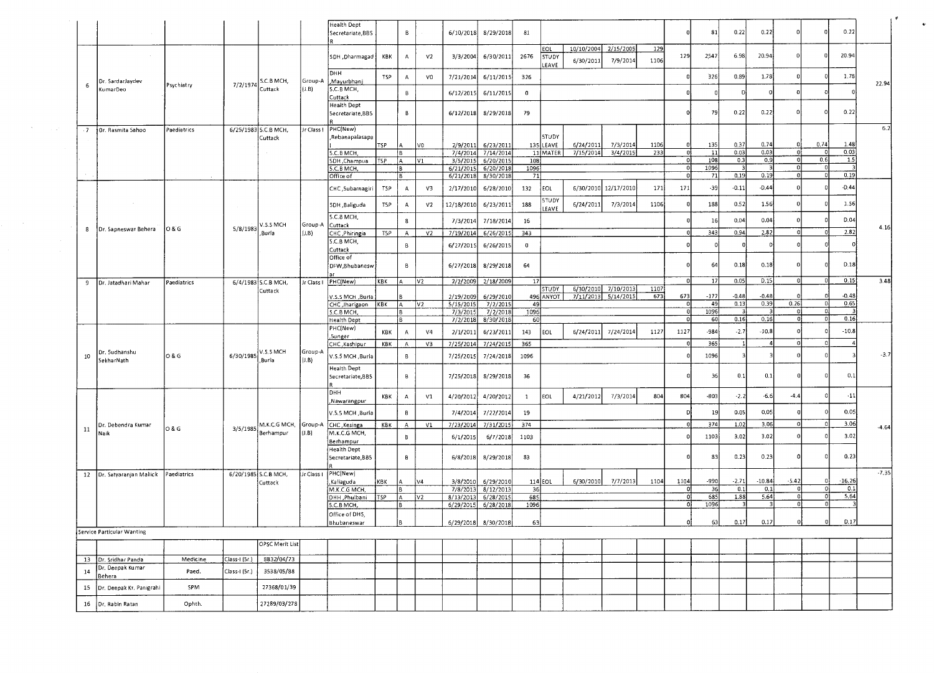|    |                               |             |               |                                  |                   | Health Dept<br>Secretariate, BBS                    |            | B              |                | 6/10/2018              | 8/29/2018              | 81           |                       |                        |                      |             |            | 81           | 0.22         | 0.22            | $\Omega$      |                 | 0.22            |         |
|----|-------------------------------|-------------|---------------|----------------------------------|-------------------|-----------------------------------------------------|------------|----------------|----------------|------------------------|------------------------|--------------|-----------------------|------------------------|----------------------|-------------|------------|--------------|--------------|-----------------|---------------|-----------------|-----------------|---------|
|    |                               |             |               |                                  |                   | SDH ,Dharmagad                                      | KBK        | $\mathbf{A}$   | V <sub>2</sub> | 3/3/2004               | 6/30/2011              | 2676         | <b>EOL</b><br>STUDY   | 10/10/2004             | 2/15/2005            | 129<br>1106 | 129        | 2547         | 6.98         | 20.94           |               |                 | 20.94           |         |
|    |                               |             |               |                                  |                   | <b>DHH</b>                                          | <b>TSP</b> | $\Lambda$      | V <sub>0</sub> | 7/21/2014              | 6/11/2015              | 326          | LEAVE                 | 6/30/2011              | 7/9/2014             |             |            | 326          | 0.89         | 1.78            |               |                 | 1.78            |         |
| 6  | Dr. SardarJaydev<br>KumarDeo  | Psychiatry  | 7/2/1974      | S.C.B MCH,<br>Cuttack            | Group-A<br>(3.B)  | "Mayurbhanj<br>S.C.B MCH,                           |            | $\,$ B         |                | 6/12/2015              | 6/11/2015              | $\mathbf{0}$ |                       |                        |                      |             |            |              | D            |                 |               |                 |                 | 22.94   |
|    |                               |             |               |                                  |                   | Cuttack<br><b>Health Dept</b>                       |            |                |                |                        |                        |              |                       |                        |                      |             |            |              |              |                 |               |                 |                 |         |
|    |                               |             |               |                                  |                   | Secretariate, BBS                                   |            | $\,$ B         |                | 6/12/2018              | 8/29/2018              | 79           |                       |                        |                      |             |            | - 79         | 0.22         | 0.22            |               |                 | 0.22            |         |
| .7 | Or. Rasmita Sahoo             | Paediatrics |               | 6/25/1983 S.C.B MCH,<br>Cuttack  | Jr Class I        | PHC(New)<br>Rebanapalasapa                          |            |                |                |                        |                        |              | <b>STUDY</b>          |                        |                      |             |            |              |              |                 |               |                 |                 | 6.2     |
|    |                               |             |               | $\sim$                           |                   | S.C.B MCH,                                          | TSP        | IA<br>ſB.      | VO.            | 2/9/2011<br>7/4/2014   | 6/23/2011<br>7/14/2014 |              | 135 LEAVE<br>11 MATER | 6/24/2011<br>7/15/2014 | 7/3/2014<br>3/4/2015 | 1106<br>233 | -ni        | 135<br>11    | 0.37<br>0.03 | 0.74<br>0.03    |               | 0.74<br>-ol     | 1.48<br>0.03    |         |
|    |                               |             |               |                                  |                   | SDH ,Champua                                        | TSP        | ÍА             | $\mathsf{V}1$  | 3/5/2015               | 6/20/2019              | 108          |                       |                        |                      |             | -n         | 108          | 0.3          | 0.9             |               | 0,6             | 1.5             |         |
|    |                               |             |               |                                  |                   | 5.C.B MCH,<br>Office of                             |            | ΙB<br>1 B      |                | 6/21/2015<br>6/21/2018 | 6/20/2018<br>8/30/2018 | 1096<br>71   |                       |                        |                      |             |            | 1096<br>71   | 0.19         | 0.19            |               |                 | 0.19            |         |
|    |                               |             |               |                                  |                   | CHC, Subarnagiri                                    | TSP        | A              | V3             | 2/17/2010              | 6/28/2010              | 132          | EOL.                  |                        | 6/30/2010 12/17/2010 | 171         | 171        | $-39$        | $-0.11$      | $-D.44$         |               |                 | $-D.44$         |         |
|    |                               |             |               |                                  |                   | SDH , Baliguda                                      | T5P        | $\mathsf A$    | V <sub>2</sub> | 12/18/2010             | 6/23/2011              | 188          | <b>STUDY</b><br>LEAVE | 6/24/2011              | 7/3/2014             | 1106        |            | 188          | 0.52         | 1.56            |               |                 | 1.56            |         |
|    |                               |             |               |                                  |                   | S.C.B MCH,                                          |            | $\bf 8$        |                | 7/3/2014               | 7/18/2014              | 16           |                       |                        |                      |             |            | 16           | 0.04         | 0.04            |               |                 | D.04            |         |
| 8  | Dr. Sapneswar Behera          | O & G       | 5/8/1983      | <b>V.5.5 MCH</b><br>Burla        | Group-A<br>(1.B)  | Cuttack<br>CHC , Phiringia                          | T5P        | $\mathbf{A}$   | V <sub>2</sub> | 7/19/2014              | 6/26/2015              | 343          |                       |                        |                      |             |            | 343          | 0.94         | 2.82            |               |                 | 2.82            | 4.16    |
|    |                               |             |               |                                  |                   | S.C.B MCH,                                          |            | $\,$ B         |                | 6/27/2015              | 6/26/2015              | $\bf{0}$     |                       |                        |                      |             |            |              |              |                 |               |                 |                 |         |
|    |                               |             |               |                                  |                   | Cuttack<br>Office of                                |            |                |                |                        |                        |              |                       |                        |                      |             |            |              |              |                 |               |                 |                 |         |
|    |                               |             |               |                                  |                   | DFW, Bhubanesw                                      |            | $\overline{B}$ |                | 6/27/2018              | 8/29/2018              | 64           |                       |                        |                      |             |            | 64<br>17     | 0.18         | 0.18<br>D.15    | n             | $\mathbf{0}$    | D.18<br>0.15    | 3.48    |
| -9 | Dr. Jatadhari Mahar           | Paediatrics |               | 6/4/1983 S.C.B MCH,<br>Cuttack   |                   | Jr Class   PHC(New)                                 | KBK        | l A            | V2             | 2/2/2009               | 2/18/2009              | 17           | <b>STUDY</b>          |                        | 6/30/2010 7/10/2013  | 1107        |            |              | 0.05         |                 |               |                 |                 |         |
|    |                               |             |               |                                  |                   | V.S.S MCH, Burla                                    |            |                |                | 2/19/2009              | 6/29/2010              |              | 496 ANYOT             |                        | 7/11/2013 5/14/2015  | 673         | 673        | $-177$<br>49 | $-0.48$      | $-0.48$<br>0.39 | 0.26          | 0               | $-0.48$<br>0.65 |         |
|    |                               |             |               |                                  |                   | CHC , Jharigaon KBK<br>5.C.B MCH,                   |            |                | V2             | 5/15/2015<br>7/3/2015  | 7/2/2015<br>7/2/2018   | 49<br>1096   |                       |                        |                      |             |            | 1096         | 0.13         |                 | -0            | οl              |                 |         |
|    |                               |             |               |                                  |                   | <b>Health Dept</b>                                  |            |                |                | 7/2/2018               | 8/30/2018              | 60           |                       |                        |                      |             | $\Omega$   | 60           | 0.16         | 0.16            | $\mathbf{0}$  | οI              | 0.16            |         |
|    |                               |             |               |                                  |                   | PHC(New)<br>,Sunger                                 | KBK        | $\mathsf{A}$   | V4             | 2/1/2011               | 6/23/2011              | 143          | EOL                   | 6/24/2011              | 7/24/2014            | 1127        | 1127       | $-984$       | $-2.7$       | $-10.8$         |               |                 | $-10.8$         |         |
|    |                               |             |               |                                  |                   | CHC, Kashipur                                       | KBK        | A              | V3             | 7/25/2014              | 7/24/2015              | 365          |                       |                        |                      |             |            | 365          |              |                 |               | ΩL              |                 |         |
| 10 | Dr. 5udhanshu<br>SekharNath   | O & G       | 6/30/1985     | <b>V.5.5 MCH</b><br>.Burla       | Group-A<br>(1, B) | V.S.5 MCH, Burla                                    |            | $\,$ B         |                | 7/25/2015              | 7/24/2018              | 1096         |                       |                        |                      |             |            | 1096         |              |                 |               |                 |                 | $-3.7$  |
|    |                               |             |               |                                  |                   | <b>Health Dept</b><br>Secretariate, BBS             |            | $\,$ B         |                | 7/25/2018              | 8/29/2018              | 36           |                       |                        |                      |             |            | 36           | 0.1          | 0.1             |               |                 | 0.1             |         |
|    |                               |             |               |                                  |                   | онн                                                 | KBK        | $\mathsf{A}$   | V1             | 4/20/2012              | 4/20/2012              | $\mathbf{1}$ | EOL                   | 4/21/2012              | 7/3/2014             | 804         | 804        | $-803$       | $-2.2$       | $-6.6$          | $-4.4$        |                 | $\cdot$ 11      |         |
|    |                               |             |               |                                  |                   | Nawarangpur<br>V.5.5 MCH ,Burla                     |            | $\mathbf{B}$   |                | 7/4/2014               | 7/22/2014              | 19           |                       |                        |                      |             |            | 19           | 0.05         | 0.05            |               |                 | 0.05            |         |
|    | Dr. Debendra Kumar            |             |               | M.K.C.G MCH, Group-A CHC Kesinga |                   |                                                     | KBK        | $\mathbf{A}$   | V1             | 7/23/2014              | 7/31/2D15              | 374          |                       |                        |                      |             |            | 374          | 1.02         | 3.06            |               |                 | 3.06            |         |
| 11 | Naik                          | 0 & G       | 3/5/1985      | Berhampur                        | (1.B)             | M.K.C.G MCH,                                        |            | B              |                | 6/1/2015               | 6/7/2018               | 1103         |                       |                        |                      |             |            | 1103         | 3.02         | 3.02            |               |                 | 3.02            | $-4.64$ |
|    |                               |             |               |                                  |                   | Berhampur<br><b>Health Dept</b><br>Secretariate BBS |            | $\,$ 8         |                | 6/8/2018               | 8/29/2018              | 83           |                       |                        |                      |             |            | 83           | 0.23         | 0.23            |               |                 | 0.23            |         |
|    | 12 Dr. Satyaranjan Mallick    | Paediatrics |               | 6/20/1985 S.C.B MCH,             | Jr Class I        | PHC(New)                                            |            |                |                |                        |                        |              |                       |                        |                      |             |            |              |              |                 |               |                 |                 | $-7.35$ |
|    |                               |             |               | Cuttack                          |                   | ,Kaliaguda                                          | квк        | <b>A</b>       | Iv4            | 3/8/2010               | 6/29/2010              |              | 114 EOL               | 6/30/2010              | 7/7/2013             | 1104        | 1104       | $-990$       | $-2.71$      | $-10.84$        | $-5.42$       |                 | $-16.26$        |         |
|    |                               |             |               |                                  |                   | M.K.C.G MCH<br>DHH, Phulbani                        | <b>TSP</b> |                | V2             | 7/8/2013<br>8/13/2013  | 8/12/2013<br>6/28/2015 | 36<br>685    |                       |                        |                      |             | -ol<br>-01 | 36<br>685    | 0.1<br>1.88  | 0.1<br>5.64     | $\Omega$<br>0 | $\Omega$<br>-01 | 0.1<br>5.64     |         |
|    |                               |             |               |                                  |                   | 5.C.B MCH,                                          |            |                |                |                        | 6/29/2015 6/28/2018    | 1096         |                       |                        |                      |             | 0          | 1096         |              |                 | $\Omega$      |                 |                 |         |
|    |                               |             |               |                                  |                   | Office of DHS,                                      |            |                |                |                        |                        |              |                       |                        |                      |             |            |              |              |                 |               |                 |                 |         |
|    | Service Particular Wanting    |             |               |                                  |                   | Bhubaneswar                                         |            | ļВ.            |                |                        | 6/29/2018 8/30/2018    | 63           |                       |                        |                      |             | 0Į         | 63           | 0.17         | 0.17            | 이.            | $\overline{0}$  | D.17            |         |
|    |                               |             |               | OPSC Merit List                  |                   |                                                     |            |                |                |                        |                        |              |                       |                        |                      |             |            |              |              |                 |               |                 |                 |         |
|    | 13 Dr. Sridhar Panda          | Medicine    | Class-I (5r.) | 8832/04/73                       |                   |                                                     |            |                |                |                        |                        |              |                       |                        |                      |             |            |              |              |                 |               |                 |                 |         |
| 14 | Dr. Deepak Kumar<br>Behera    | Paed.       | Class-I (5r.) | 3538/05/88                       |                   |                                                     |            |                |                |                        |                        |              |                       |                        |                      |             |            |              |              |                 |               |                 |                 |         |
|    |                               |             |               |                                  |                   |                                                     |            |                |                |                        |                        |              |                       |                        |                      |             |            |              |              |                 |               |                 |                 |         |
|    | 15   Dr. Deepak Kr. Panigrahi | SPM         |               | 27368/01/39                      |                   |                                                     |            |                |                |                        |                        |              |                       |                        |                      |             |            |              |              |                 |               |                 |                 |         |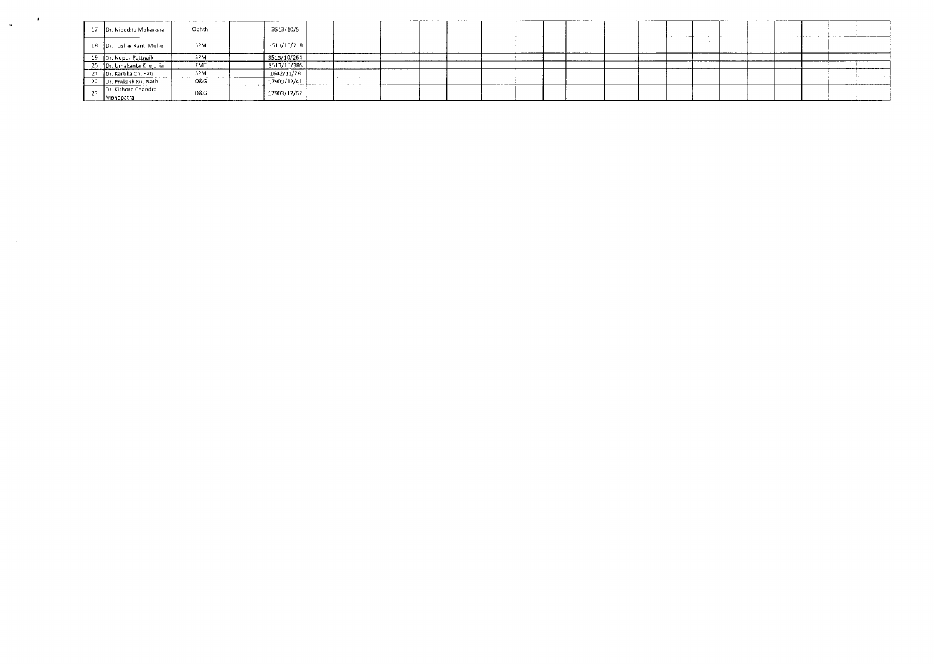|      | 17 Dr. Nibedita Maharana         | Ophth      | 3513/10/5   |  |  |  |  |  |  |  |  |  |  |
|------|----------------------------------|------------|-------------|--|--|--|--|--|--|--|--|--|--|
|      | 18 Dr. Tushar Kanti Meher        | SPM        | 3513/10/218 |  |  |  |  |  |  |  |  |  |  |
|      | 19 Dr. Nupur Pattnaik            | SPM        | 3513/10/264 |  |  |  |  |  |  |  |  |  |  |
|      |                                  | <b>FMT</b> | 3513/10/385 |  |  |  |  |  |  |  |  |  |  |
|      | 20 Dr. Umakanta Khejuria         | SPM        | 1642/11/78  |  |  |  |  |  |  |  |  |  |  |
|      | 22 Dr. Prakash Ku. Nath          | O&G        | 17903/12/41 |  |  |  |  |  |  |  |  |  |  |
| 23 - | Dr. Kishore Chandra<br>Mohapatra | O&G        | 17903/12/62 |  |  |  |  |  |  |  |  |  |  |

 $\label{eq:2.1} \frac{1}{2} \sum_{i=1}^n \frac{1}{2} \sum_{j=1}^n \frac{1}{2} \sum_{j=1}^n \frac{1}{2} \sum_{j=1}^n \frac{1}{2} \sum_{j=1}^n \frac{1}{2} \sum_{j=1}^n \frac{1}{2} \sum_{j=1}^n \frac{1}{2} \sum_{j=1}^n \frac{1}{2} \sum_{j=1}^n \frac{1}{2} \sum_{j=1}^n \frac{1}{2} \sum_{j=1}^n \frac{1}{2} \sum_{j=1}^n \frac{1}{2} \sum_{j=1}^n \frac{$ 

 $\mathcal{L}(\mathcal{A})$  and  $\mathcal{L}(\mathcal{A})$  .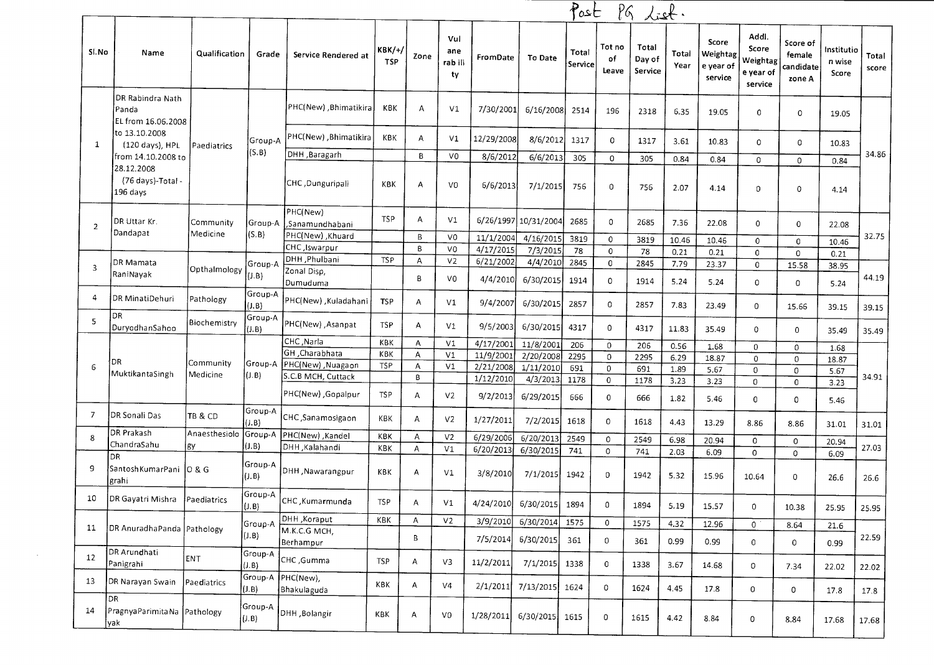|                         |                                                  |                       |                  |                             |                             |              |                             |            |                      | Post             |                       | PG List.                   |               |                                           |                                                    |                                           |                               |                |
|-------------------------|--------------------------------------------------|-----------------------|------------------|-----------------------------|-----------------------------|--------------|-----------------------------|------------|----------------------|------------------|-----------------------|----------------------------|---------------|-------------------------------------------|----------------------------------------------------|-------------------------------------------|-------------------------------|----------------|
| Sl.No                   | Name                                             | Qualification         | Grade            | Service Rendered at         | <b>KBK/+/</b><br><b>TSP</b> | Zone         | Vul<br>ane<br>rab ili<br>ty | FromDate   | To Date              | Total<br>Service | Tot no<br>of<br>Leave | Total<br>Day of<br>Service | Total<br>Year | Score<br>Weightag<br>e year of<br>service | Addl.<br>Score<br>Weightag<br>e year of<br>service | Score of<br>female<br>candidate<br>zone A | Institutio<br>n wise<br>Score | Total<br>score |
|                         | DR Rabindra Nath<br>Panda<br>EL from 16.06.2008  |                       |                  | PHC(New), Bhimatikira       | KBK                         | $\mathsf{A}$ | V <sub>1</sub>              | 7/30/2001  | 6/16/2008            | 2514             | 196                   | 2318                       | 6.35          | 19.05                                     | 0                                                  | 0                                         | 19.05                         |                |
| 1                       | to 13.10.2008<br>(120 days), HPL                 | Paediatrics           | Group-A          | PHC(New) ,Bhimatikira       | <b>KBK</b>                  | Α            | V <sub>1</sub>              | 12/29/2008 | 8/6/2012             | 1317             | $\mathbf 0$           | 1317                       | 3.61          | 10.83                                     | 0                                                  | 0                                         | 10.83                         |                |
|                         | from 14.10.2008 to                               |                       | (S.B)            | Baragarh                    |                             | B            | V <sub>0</sub>              | 8/6/2012   | 6/6/2013             | 305              | $\mathbf 0$           | 305                        | 0.84          | 0.84                                      | $\mathbf 0$                                        | 0                                         | 0.84                          | 34.86          |
|                         | 28.12.2008<br>(76 days)-Total -<br>196 days      |                       |                  | CHC, Dunguripali            | KBK                         | A            | V <sub>0</sub>              | 6/6/2013   | 7/1/2015             | 756              | 0                     | 756                        | 2.07          | 4.14                                      | 0                                                  | 0                                         | 4.14                          |                |
| $\overline{2}$          | DR Uttar Kr.                                     | Community             | Group-A          | PHC(New)<br>,Sanamundhabani | <b>TSP</b>                  | Α            | V1                          |            | 6/26/1997 10/31/2004 | 2685             | 0                     | 2685                       | 7.36          | 22.08                                     | 0                                                  | 0                                         | 22.08                         |                |
|                         | Dandapat                                         | Medicine              | (S.B)            | PHC(New), Khuard            |                             | B            | V <sub>0</sub>              | 11/1/2004  | 4/16/2015            | 3819             | 0                     | 3819                       | 10.46         | 10.46                                     | 0                                                  | 0                                         | 10.46                         | 32.75          |
|                         |                                                  |                       |                  | CHC, Iswarpur               |                             | B            | V0                          | 4/17/2015  | 7/3/2015             | 78               | 0                     | 78                         | 0.21          | 0.21                                      | 0                                                  | $\mathbf 0$                               | 0.21                          |                |
| $\overline{\mathbf{3}}$ | DR Mamata                                        | Opthalmology          | Group-A          | DHH, Phulbani               | <b>TSP</b>                  | А            | V <sub>2</sub>              | 6/21/2002  | 4/4/2010             | 2845             | $\mathbf{0}$          | 2845                       | 7.79          | 23.37                                     | $\mathbf 0$                                        | 15.58                                     | 38.95                         |                |
|                         | RaniNayak                                        |                       | (I.B)            | Zonal Disp,<br>Dumuduma     |                             | В            | V0                          | 4/4/2010   | 6/30/2015            | 1914             | 0                     | 1914                       | 5.24          | 5.24                                      | 0                                                  | 0                                         | 5.24                          | 44.19          |
| 4                       | DR MinatiDehuri<br>DR                            | Pathology             | Group-A<br>(J.B) | PHC(New), Kuladahani        | <b>TSP</b>                  | А            | V1                          | 9/4/2007   | 6/30/2015            | 2857             | 0                     | 2857                       | 7.83          | 23.49                                     | 0                                                  | 15.66                                     | 39.15                         | 39.15          |
| 5                       | DuryodhanSahoo                                   | Biochemistry          | Group-A<br>(J.B) | PHC(New), Asanpat           | <b>TSP</b>                  | A            | V1                          | 9/5/2003   | 6/30/2015            | 4317             | 0                     | 4317                       | 11.83         | 35.49                                     | 0                                                  | 0                                         | 35.49                         | 35.49          |
|                         |                                                  |                       |                  | CHC, Narla                  | KBK                         | A            | V <sub>1</sub>              | 4/17/2001  | 11/8/2001            | 206              | 0                     | 206                        | 0.56          | 1.68                                      | $\mathbf{0}$                                       | $\mathbf{0}$                              | 1.68                          |                |
|                         | DR                                               |                       |                  | GH, Charabhata              | KBK                         | А            | V1                          | 11/9/2001  | 2/20/2008            | 2295             | $\mathbf{0}$          | 2295                       | 6.29          | 18.87                                     | $\mathbf 0$                                        | $\mathsf D$                               | 18.87                         |                |
| 6                       | MuktikantaSingh                                  | Community<br>Medicine |                  | Group-A PHC(New), Nuagaon   | <b>TSP</b>                  | Α            | V1                          | 2/21/2008  | 1/11/2010            | 691              | $\mathbf{0}$          | 691                        | 1.89          | 5.67                                      | $\mathbf{0}$                                       | 0                                         | 5.67                          |                |
|                         |                                                  |                       | (1 B)            | S.C.B MCH, Cuttack          |                             | В            |                             | 1/12/2010  | 4/3/2013             | 1178             | 0                     | 1178                       | 3.23          | 3.23                                      | 0                                                  | $\mathbf 0$                               | 3.23                          | 34.91          |
|                         |                                                  |                       |                  | PHC(New), Gopalpur          | <b>TSP</b>                  | Α            | V <sub>2</sub>              | 9/2/2013   | 6/29/2015            | 666              | 0                     | 666                        | 1.82          | 5.46                                      | 0                                                  | 0                                         | 5.46                          |                |
| 7                       | DR Sonali Das                                    | TB & CD               | Group-A<br>(J.B) | CHC, Sanamosigaon           | KBK                         | Α            | V <sub>2</sub>              | 1/27/2011  | 7/2/2015             | 1618             | 0                     | 1618                       | 4.43          | 13.29                                     | 8.86                                               | 8.86                                      | 31.01                         | 31.01          |
| 8                       | DR Prakash                                       | Anaesthesiolo         | Group-A          | <b>PHC(New)</b> , Kandel    | KBK                         | $\mathsf{A}$ | V <sub>2</sub>              | 6/29/2006  | 6/20/2013            | 2549             | 0                     | 2549                       | 6.98          | 20.94                                     | $\mathbf 0$                                        | $\mathbf 0$                               | 20.94                         |                |
|                         | ChandraSahu<br>DR                                | gy                    | (J.B)            | DHH ,Kalahandi              | KBK                         | $\mathsf{A}$ | V1                          | 6/20/2013  | 6/30/2015            | 741              | $\mathbf{0}$          | 741                        | 2.03          | 6.09                                      | 0                                                  | 0                                         | 6.09                          | 27.03          |
| 9                       | SantoshKumarPani   O & G<br>grahi                |                       | Group-A<br>(J.B) | DHH, Nawarangpur            | KBK                         | A            | V1                          | 3/8/2010   | 7/1/2015             | 1942             | 0                     | 1942                       | 5.32          | 15.96                                     | 10.64                                              | 0                                         | 26.6                          | 26.6           |
| 10                      | DR Gayatri Mishra Paediatrics                    |                       | Group-A<br>(J.B) | CHC, Kumarmunda             | <b>TSP</b>                  | А            | $\vee\!1$                   | 4/24/2010  | 6/30/2015            | 1894             | 0                     | 1894                       | 5.19          | 15.57                                     | 0                                                  | 10.38                                     | 25.95                         | 25.95          |
|                         |                                                  |                       | Group-A          | DHH , Koraput               | <b>KBK</b>                  | Α            | V <sub>2</sub>              | 3/9/2010   | 6/30/2014            | 1575             | $\mathbf 0$           | 1575                       | 4.32          | 12.96                                     | $\mathbf 0$                                        | 8.64                                      | 21.6                          |                |
| 11                      | DR AnuradhaPanda Pathology                       |                       | (1.B)            | M.K.C.G MCH,<br>Berhampur   |                             | B            |                             | 7/5/2014   | 6/30/2015            | 361              | 0                     | 361                        | 0.99          | 0.99                                      | 0                                                  | $\mathbf 0$                               | 0.99                          | 22.59          |
| 12                      | DR Arundhati<br>Panigrahi                        | ENT                   | Group-A<br>(J.B) | CHC, Gumma                  | <b>TSP</b>                  | A            | V3                          | 11/2/2011  | 7/1/2015 1338        |                  | $\mathbf 0$           | 1338                       | 3.67          | 14.68                                     | 0                                                  | 7.34                                      | 22.02                         | 22.02          |
| 13                      | DR Narayan Swain                                 | Paediatrics           | Group-A<br>(J.B) | PHC(New),<br>Bhakulaguda    | KBK                         | A            | V4                          | 2/1/2011   | 7/13/2015 1624       |                  | 0                     | 1624                       | 4.45          | 17.8                                      | 0                                                  | 0                                         | 17.8                          | 17.8           |
| 14                      | DR.<br>PragnyaParimitaNa Pathology<br><b>yak</b> |                       | Group-A<br>(J.B) | DHH, Bolangir               | KBK                         | A            | V0                          | 1/28/2011  | 6/30/2015 1615       |                  | $\mathbf 0$           | 1615                       | 4.42          | 8.84                                      | 0                                                  | 8.84                                      | 17.68                         | 17.68          |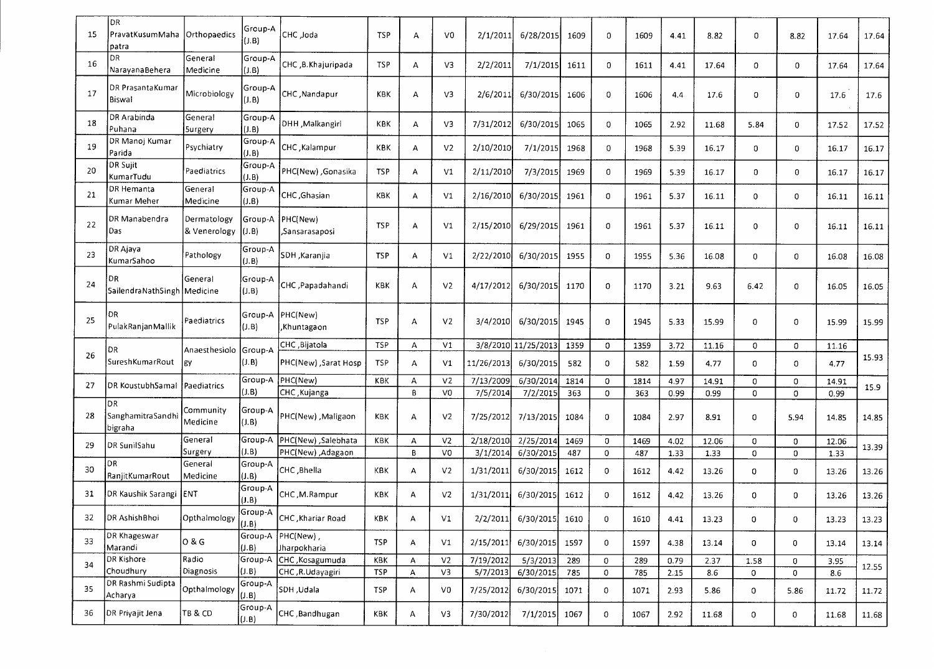| -15 | DR<br>PravatKusumMaha<br>patra        | Orthopaedics                | Group-A<br>(J.B)  | CHC ,Joda                         | <b>TSP</b>        | А            | V <sub>0</sub>                   | 2/1/2011              | 6/28/2015              | 1609        | 0                   | 1609        | 4.41         | 8.82          | 0           | 8.82      | 17.64         | 17.64 |
|-----|---------------------------------------|-----------------------------|-------------------|-----------------------------------|-------------------|--------------|----------------------------------|-----------------------|------------------------|-------------|---------------------|-------------|--------------|---------------|-------------|-----------|---------------|-------|
| 16  | DR<br>NarayanaBehera                  | General<br>Medicine         | Group-A<br>(J.B)  | CHC, B. Khajuripada               | <b>TSP</b>        | A            | V <sub>3</sub>                   | 2/2/2011              | 7/1/2015               | 1611        | 0                   | 1611        | 4.41         | 17.64         | 0           | 0         | 17.64         | 17.64 |
| 17  | DR PrasantaKumar<br>Biswal            | Microbiology                | Group-A<br>(J.B)  | CHC Nandapur                      | KBK               | А            | V3                               | 2/6/2011              | 6/30/2015              | 1606        | 0                   | 1606        | 4.4          | 17.6          | 0           | 0         | 17.6          | 17.6  |
| 18  | DR Arabinda<br>Puhana                 | General<br>5urgery          | Group-A<br>(J.B)  | DHH , Malkangiri                  | KBK               | A            | V3                               | 7/31/2012             | 6/30/2015              | 1065        | $\overline{0}$      | 1065        | 2.92         | 11.68         | 5.84        | 0         | 17.52         | 17.52 |
| -19 | DR Manoj Kumar<br>Parida              | Psychiatry                  | Group-A<br>(J.B)  | CHC Kalampur                      | KBK               | А            | V <sub>2</sub>                   | 2/10/2010             | 7/1/2015               | 1968        | 0                   | 1968        | 5.39         | 16.17         | 0           | 0         | 16.17         | 16.17 |
| 20  | <b>DR Sujit</b><br>KumarTudu          | Paediatrics                 | Group-A<br>(J.B)  | PHC(New), Gonasika                | <b>TSP</b>        | А            | V <sub>1</sub>                   | 2/11/2010             | 7/3/2015               | 1969        | 0                   | 1969        | 5.39         | 16.17         | 0           | 0         | 16.17         | 16.17 |
| 21  | DR Hemanta<br>Kumar Meher             | General<br>Medicine         | Group-A<br>(J.B)  | CHC , Ghasian                     | KBK               | А            | V1                               | 2/16/2010             | 6/30/2015              | 1961        | 0                   | 1961        | 5.37         | 16.11         | 0           | 0         | 16.11         | 16.11 |
| 22  | DR Manabendra<br>Das                  | Dermatology<br>& Venerology | Group-A<br>(J.B)  | PHC(New)<br>, Sansarasa posi      | <b>TSP</b>        | А            | V1                               | 2/15/2010             | 6/29/2015              | 1961        | 0                   | 1961        | 5.37         | 16.11         | 0           | 0         | 16.11         | 16.11 |
| 23  | DR Ajaya<br>KumarSahoo                | Pathology                   | Group-A<br>(1.B)  | SDH , Karanjia                    | <b>TSP</b>        | А            | V1                               | 2/22/2010             | 6/30/2015              | 1955        | $\mathbf{0}$        | 1955        | 5.36         | 16.08         | 0           | 0         | 16.08         | 16.08 |
| 24  | DR<br>Sailendra Nath Singh   Medicine | General                     | Group-A<br>(J.B)  | CHC ,Papadahandi                  | <b>KBK</b>        | А            | V <sub>2</sub>                   | 4/17/2012             | 6/30/2015              | 1170        | 0                   | 1170        | 3.21         | 9.63          | 6.42        | 0         | 16.05         | 16.05 |
| 25  | DR<br>Pulak Ranjan Mallik             | Paediatrics                 | (J.B)             | Group-A PHC(New)<br>,Khuntagaon   | <b>TSP</b>        | $\mathsf{A}$ | V <sub>2</sub>                   | 3/4/2010              | 6/30/2015              | 1945        | 0                   | 1945        | 5.33         | 15.99         | 0           | 0         | 15.99         | 15.99 |
|     | DR                                    | Anaesthesiolo               | Group-A           | CHC, Bijatola                     | <b>TSP</b>        | A            | V1                               |                       | 3/8/2010 11/25/2013    | 1359        | $\mathbf 0$         | 1359        | 3.72         | 11.16         | 0           | 0         | 11.16         |       |
| 26  | SureshKumarRout                       | lgy                         | (J.B)             | PHC(New), Sarat Hosp              | TSP               | А            | V1                               | 11/26/2013            | 6/30/2015              | 582         | 0                   | 582         | 1.59         | 4.77          | 0           | 0         | 4.77          | 15.93 |
| 27  | DR KoustubhSamal   Paediatrics        |                             | Group-A<br>(J.B)  | PHC(New)<br>CHC, Kujanga          | KBK               | А<br>B       | V <sub>2</sub><br>V <sub>0</sub> | 7/13/2009<br>7/5/2014 | 6/30/2014<br>7/2/2015  | 1814<br>363 | 0<br>$\overline{0}$ | 1814<br>363 | 4.97<br>0.99 | 14.91<br>0.99 | 0<br>0      | 0<br>0    | 14.91<br>0.99 | 15.9  |
| 28  | DR<br>SanghamitraSandhi<br>bigraha    | Community<br>Medicine       | Group-A<br>(J.B)  | PHC(New), Maligaon                | KBK               | А            | V <sub>2</sub>                   | 7/25/2012             | 7/13/2015              | 1084        | 0                   | 1084        | 2.97         | 8.91          | 0           | 5.94      | 14.85         | 14.85 |
| 29  | DR SunilSahu                          | General<br>Surgery          | Group-A<br>(J.B)  | Salebhata ( PHC(New)              | KBK               | А<br>B       | V <sub>2</sub><br>V <sub>0</sub> | 2/18/2010             | 2/25/2014              | 1469        | 0                   | 1469        | 4.02         | 12.06         | 0           | 0         | 12.06         | 13.39 |
| 30  | DR<br>RanjitKumarRout                 | General<br>Medicine         | Group-A<br>(J.B)  | PHC(New), Adagaon<br>CHC ,Bhella  | KBK               | Α            | V <sub>2</sub>                   | 3/1/2014<br>1/31/2011 | 6/30/2015<br>6/30/2015 | 487<br>1612 | $\mathbf 0$<br>0    | 487<br>1612 | 1.33<br>4.42 | 1.33<br>13.26 | 0<br>0      | 0<br>0    | 1.33<br>13.26 | 13.26 |
| 31  | DR Kaushik Sarangi                    | <b>IENT</b>                 | Group-A<br>(1.B)  | CHC, M.Rampur                     | KBK               | A            | V <sub>2</sub>                   | 1/31/2011             | 6/30/2015              | 1612        | 0                   | 1612        | 4.42         | 13.26         | 0           | 0         | 13.26         | 13.26 |
| 32  | DR AshishBhoi                         | Opthalmology                | Group-A<br>[(J.B) | CHC, Khariar Road                 | KBK               | А            | V1                               | 2/2/2011              | 6/30/2015              | 1610        | O                   | 1610        | 4.41         | 13.23         | 0           | 0         | 13.23         | 13.23 |
| 33  | DR Khageswar<br>Marandi               | 0 & G                       | (J.B)             | Group-A PHC(New),<br>Jharpokharia | <b>TSP</b>        | A            | V1                               | 2/15/2011             | 6/30/2015              | 1597        | 0                   | 1597        | 4.38         | 13.14         | $\mathbf 0$ | 0         | 13.14         | 13.14 |
| 34  | DR Kishore<br>Choudhury               | Radio<br>Diagnosis          | Group-A<br>(J.B). | CHC, Kosagumuda                   | KBK<br><b>TSP</b> | А            | V <sub>2</sub>                   | 7/19/2012             | 5/3/2013               | 289         | $\mathsf{O}$        | 289         | 0.79         | 2.37          | 1.58        | 0         | 3.95          | 12.55 |
| 35  | DR Rashmi Sudipta<br>Acharva          | Opthalmology                | Group-A<br>(J.B)  | CHC, R.Udayagiri<br>SDH ,Udala    | <b>TSP</b>        | A<br>А       | V3<br>V0                         | 5/7/2013<br>7/25/2012 | 6/30/2015<br>6/30/2015 | 785<br>1071 | 0<br>0              | 785<br>1071 | 2.15<br>2.93 | 8.6<br>5.86   | 0<br>0      | 0<br>5.86 | 8.6<br>11.72  | 11.72 |
| 36  | DR Priyajit Jena                      | TB & CD                     | Group-A<br>(J.B)  | CHC, Bandhugan                    | KBK               | A            | V3                               | 7/30/2012             | 7/1/2015 1067          |             | 0                   | 1067        | 2.92         | 11.68         | 0           | 0         | 11.68         | 11.68 |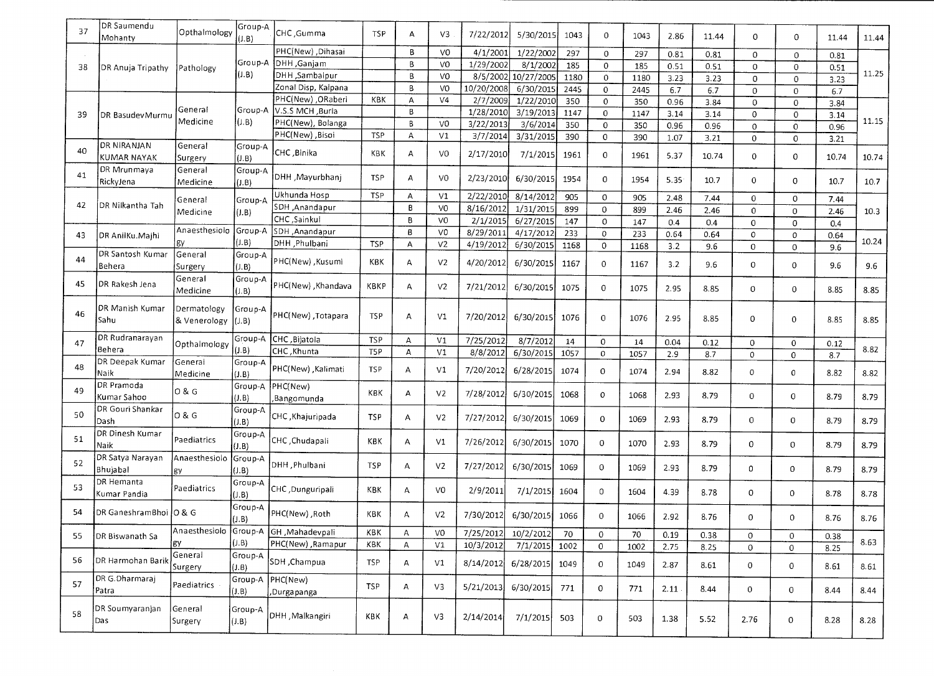| 37 | DR Saumendu            |               | Group-A |                                       |            |                |                |            |            |      |              |      |      |       |              |                     |             |       |
|----|------------------------|---------------|---------|---------------------------------------|------------|----------------|----------------|------------|------------|------|--------------|------|------|-------|--------------|---------------------|-------------|-------|
|    | Mohanty                | Opthalmology  | (J.B)   | CHC, Gumma                            | <b>TSP</b> | A              | V3             | 7/22/2012  | 5/30/2015  | 1043 | 0            | 1043 | 2.86 | 11.44 | $\sigma$     | 0                   | 11.44       | 11.44 |
|    |                        |               |         | PHC(New), Dihasai                     |            | B              | V <sub>0</sub> | 4/1/2001   | 1/22/2002  | 297  | $\mathbf 0$  | 297  | 0.81 | 0.81  | 0            | 0                   | 0.81        |       |
| 38 | DR Anuja Tripathy      | Pathology     | Group-A | DHH, Ganjam                           |            | $\overline{B}$ | V <sub>0</sub> | 1/29/2002  | 8/1/2002   | 185  | $\mathbf 0$  | 185  | 0.51 | 0.51  | $\Omega$     | $\Omega$            | 0.51        |       |
|    |                        |               | (J.B)   | DHH ,Sambalpur                        |            | $\overline{B}$ | V <sub>0</sub> | 8/5/2002   | 10/27/2005 | 1180 | $\mathbf 0$  | 1180 | 3.23 | 3.23  | $\Omega$     | $\mathbf 0$         | 3.23        | 11.25 |
|    |                        |               |         | Zonal Disp, Kalpana                   |            | B              | V <sub>0</sub> | 10/20/2008 | 6/30/2015  | 2445 | $\mathbf 0$  | 2445 | 6.7  | 6.7   | $\Omega$     | 0                   | 6.7         |       |
|    |                        |               |         | PHC(New) , ORaberi                    | KBK        | А              | V <sub>4</sub> | 2/7/2009   | 1/22/2010  | 350  | $\mathbf 0$  | 350  | 0.96 | 3.84  | $\Omega$     | 0                   | 3.84        |       |
| 39 | DR BasudevMurmu        | General       | Group-A | V.S.S MCH, Burla                      |            | $\mathbf{B}$   |                | 1/28/2010  | 3/19/2013  | 1147 | $\Omega$     | 1147 | 3.14 | 3.14  | 0            | 0                   | 3.14        |       |
|    |                        | Medicine      | (J.B)   | PHC(New), Bolanga                     |            | B              | V <sub>0</sub> | 3/22/2013  | 3/6/2014   | 350  | $\Omega$     | 350  | 0.96 | 0.96  | $\Omega$     | $\mathbf 0$         | 0.96        | 11.15 |
|    |                        |               |         | PHC(New) ,Bisoi                       | <b>TSP</b> | A              | V <sub>1</sub> | 3/7/2014   | 3/31/2015  | 390  | 0            | 390  | 1.07 | 3.21  | 0            | 0                   | 3.21        |       |
| 40 | DR NIRANJAN            | General       | Group-A | CHC, Binika                           | KBK        | А              | VO             | 2/17/2010  | 7/1/2015   |      | 0            |      |      |       |              |                     |             |       |
|    | KUMAR NAYAK            | Surgery       | (0.B)   |                                       |            |                |                |            |            | 1961 |              | 1961 | 5.37 | 10.74 | 0            | $\mathbf 0$         | 10.74       | 10.74 |
| 41 | DR Mrunmaya            | General       | Group-A | DHH ,Mayurbhanj                       | <b>TSP</b> | А              | V <sub>0</sub> | 2/23/2010  | 6/30/2015  |      |              |      |      |       |              |                     |             |       |
|    | RickyJena              | Medicine      | (0.B)   |                                       |            |                |                |            |            | 1954 | $\mathbf 0$  | 1954 | 5.35 | 10.7  | $\mathbf 0$  | $\mathbf 0$         | 10.7        | 10.7  |
|    |                        | General       | Group-A | Ukhunda Hosp                          | <b>TSP</b> | А              | V1             | 2/22/2010  | 8/14/2012  | 905  | $\mathbf 0$  | 905  | 2.48 | 7.44  | 0            | $\mathbf 0$         | 7.44        |       |
| 42 | DR Nilkantha Tah       | Medicine      | (I.B)   | SDH ,Anandapur                        |            | B              | V <sub>0</sub> | 8/16/2012  | 1/31/2015  | 899  | $\mathbf 0$  | 899  | 2.46 | 2.46  | $\mathbf 0$  | $\mathbf 0$         | 2.46        | 10.3  |
|    |                        |               |         | CHC, Sainkul                          |            | B              | VO             | 2/1/2015   | 6/27/2015  | 147  | $\mathbf 0$  | 147  | 0.4  | 0.4   | $\mathbf 0$  | $\mathbf 0$         | 0.4         |       |
| 43 | DR AnilKu.Majhi        | Anaesthesiolo | Group-A | SDH ,Anandapur                        |            | B              | V0             | 8/29/2011  | 4/17/2012  | 233  | $\circ$      | 233  | 0.64 | 0.64  | $\mathbf 0$  | $\mathsf{O}\xspace$ | 0.64        |       |
|    |                        | gу            | (J.B)   | DHH , Phulbani                        | <b>TSP</b> | А              | V <sub>2</sub> | 4/19/2012  | 6/30/2015  | 1168 | $\mathbf 0$  | 1168 | 3.2  | 9.6   | $\mathbf 0$  | $\mathbf 0$         | 9.6         | 10.24 |
| 44 | DR Santosh Kumar       | General       | Group-A | PHC(New), Kusumi                      |            |                |                |            |            |      |              |      |      |       |              |                     |             |       |
|    | Behera                 | Surgery       | (I.B)   |                                       | KBK        | А              | V <sub>2</sub> | 4/20/2012  | 6/30/2015  | 1167 | $\mathbf 0$  | 1167 | 3.2  | 9.6   | $\mathbf 0$  | 0                   | 9.6         | 9.6   |
| 45 |                        | General       | Group-A |                                       |            |                |                |            |            |      |              |      |      |       |              |                     |             |       |
|    | DR Rakesh Jena         | Medicine      | (J.B)   | PHC(New), Khandava                    | KBKP       | A              | V <sub>2</sub> | 7/21/2012  | 6/30/2015  | 1075 | 0            | 1075 | 2.95 | 8.85  | 0            | $\mathbf 0$         | 8.85        | 8.85  |
|    |                        |               |         |                                       |            |                |                |            |            |      |              |      |      |       |              |                     |             |       |
| 46 | DR Manish Kumar        | Dermatology   | Group-A | PHC(New), Totapara                    | <b>TSP</b> | А              | V <sub>1</sub> | 7/20/2012  | 6/30/2015  | 1076 | $\mathbf{0}$ | 1076 | 2.95 | 8.85  | 0            |                     |             |       |
|    | Sahu                   | & Venerology  | (J.B)   |                                       |            |                |                |            |            |      |              |      |      |       |              | 0                   | 8.85        | 8.85  |
| 47 | DR Rudranarayan        |               | Group-A | CHC, Bijatola                         | <b>TSP</b> | Α              | V <sub>1</sub> | 7/25/2012  | 8/7/2012   | 14   | $\mathbf{0}$ | 14   | 0.04 | 0.12  | $\mathbf 0$  | $\mathbf 0$         |             |       |
|    | Behera                 | Opthalmology  | (J.B)   | CHC, Khunta                           | T5P        | A              | V <sub>1</sub> | 8/8/2012   | 6/30/2015  | 1057 | $\mathbf{0}$ | 1057 | 2.9  | 8.7   | $\Omega$     | 0                   | 0.12<br>8.7 | 8.82  |
|    | DR Deepak Kumar        | General       | Group-A |                                       |            |                |                |            |            |      |              |      |      |       |              |                     |             |       |
| 48 | Naik                   | Medicine      | (0.B)   | <b>PHC(New)</b> , Kalimati            | <b>TSP</b> | Α              | V <sub>1</sub> | 7/20/2012  | 6/28/2015  | 1074 | 0            | 1074 | 2.94 | 8.82  | $\mathbf 0$  | $\mathbf 0$         | 8.82        | 8.82  |
|    | DR Pramoda             | 0 & G         | Group-A | PHC(New)                              |            |                |                |            |            |      |              |      |      |       |              |                     |             |       |
| 49 | Kumar Sahoo            |               | (J.B)   | ,Bangomunda                           | KBK        | A              | V <sub>2</sub> | 7/28/2012  | 6/30/2015  | 1068 | 0            | 1068 | 2.93 | 8.79  | 0            | 0                   | 8.79        | 8.79  |
|    | DR Gouri Shankar       |               | Group-A |                                       |            |                |                |            |            |      |              |      |      |       |              |                     |             |       |
| 50 | Dash                   | 0 & G         | (J.B)   | CHC, Khajuripada                      | <b>TSP</b> | А              | V <sub>2</sub> | 7/27/2012  | 6/30/2015  | 1069 | $\mathbf 0$  | 1069 | 2.93 | 8.79  | 0            | 0                   | 8.79        | 8.79  |
|    | DR Dinesh Kumar        |               | Group-A |                                       |            |                |                |            |            |      |              |      |      |       |              |                     |             |       |
| 51 | Naik                   | Paediatrics   | (J.B)   | CHC, Chudapali                        | KBK        | А              | V1             | 7/26/2012  | 6/30/2015  | 1070 | $\mathbf 0$  | 1070 | 2.93 | 8.79  | 0            | 0                   | 8.79        | 8.79  |
|    | DR Satya Narayan       | Anaesthesiolo | Group-A |                                       |            |                |                |            |            |      |              |      |      |       |              |                     |             |       |
| 52 | Bhujabal               | gy            | (J.B)   | DHH, Phulbani                         | <b>TSP</b> | А              | V <sub>2</sub> | 7/27/2012  | 6/30/2015  | 1069 | $\mathbf 0$  | 1069 | 2.93 | 8.79  | 0            | $\mathbf 0$         | 8.79        | 8.79  |
|    | DR Hemanta             |               | Group-A |                                       |            |                |                |            |            |      |              |      |      |       |              |                     |             |       |
| 53 | Kumar Pandia           | Paediatrics   | (J.B)   | CHC ,Dunguripali                      | KBK        | A              | V0             | 2/9/2011   | 7/1/2015   | 1604 | 0            | 1604 | 4.39 | 8.78  | 0            | $\mathbf 0$         | 8.78        | 8.78  |
|    |                        |               | Group-A |                                       |            |                |                |            |            |      |              |      |      |       |              |                     |             |       |
| 54 | DR GaneshramBhoi O & G |               | (J.B)   | PHC(New), Roth                        | <b>KBK</b> | A              | V <sub>2</sub> | 7/30/2012  | 6/30/2015  | 1066 | 0            | 1066 | 2.92 | 8.76  | $\mathbf 0$  | 0                   | 8.76        | 8.76  |
|    |                        |               |         | Anaesthesiolo Group-A GH, Mahadevpali |            |                |                |            |            |      |              |      |      |       |              |                     |             |       |
| 55 | DR Biswanath Sa        | gy            | (J.B)   | PHC(New), Ramapur                     | KBK        | А              | V <sub>0</sub> | 7/25/2012  | 10/2/2012  | 70   | 0            | 70   | 0.19 | 0.38  | 0            | $\mathbf 0$         | 0.38        | 8.63  |
|    |                        | General       | Group-A |                                       | KBK        | $\overline{A}$ | V <sub>1</sub> | 10/3/2012  | 7/1/2015   | 1002 | $\mathbf 0$  | 1002 | 2.75 | 8.25  | 0            | $\mathbf 0$         | 8.25        |       |
| 56 | DR Harmohan Barik      | Surgery       |         | SDH Champua                           | <b>TSP</b> | $\mathsf{A}$   | V1             | 8/14/2012  | 6/28/2015  | 1049 | $\mathbf{0}$ | 1049 | 2.87 | 8.61  | $\mathbf{0}$ | $\mathbf 0$         | 8.61        | 8.61  |
|    | DR G.Dharmaraj         |               | (J.B)   |                                       |            |                |                |            |            |      |              |      |      |       |              |                     |             |       |
| 57 | Patra                  | Paediatrics   | Group-A | PHC(New)                              | <b>TSP</b> | $\mathsf{A}$   | V3             | 5/21/2013  | 6/30/2015  | 771  | 0            | 771  | 2.11 | 8.44  | 0            | $\mathbf 0$         | 8.44        | 8.44  |
|    |                        |               | (I.B)   | ,Durgapanga                           |            |                |                |            |            |      |              |      |      |       |              |                     |             |       |
| 58 | DR Soumyaranjan        | General       | Group-A |                                       |            |                |                |            |            |      |              |      |      |       |              |                     |             |       |
|    | Das                    | Surgery       | (J.B)   | DHH , Malkangiri                      | KBK        | А              | V <sub>3</sub> | 2/14/2014  | 7/1/2015   | 503  | $\mathbf 0$  | 503  | 1.38 | 5.52  | 2.76         | 0                   | 8.28        | 8.28  |
|    |                        |               |         |                                       |            |                |                |            |            |      |              |      |      |       |              |                     |             |       |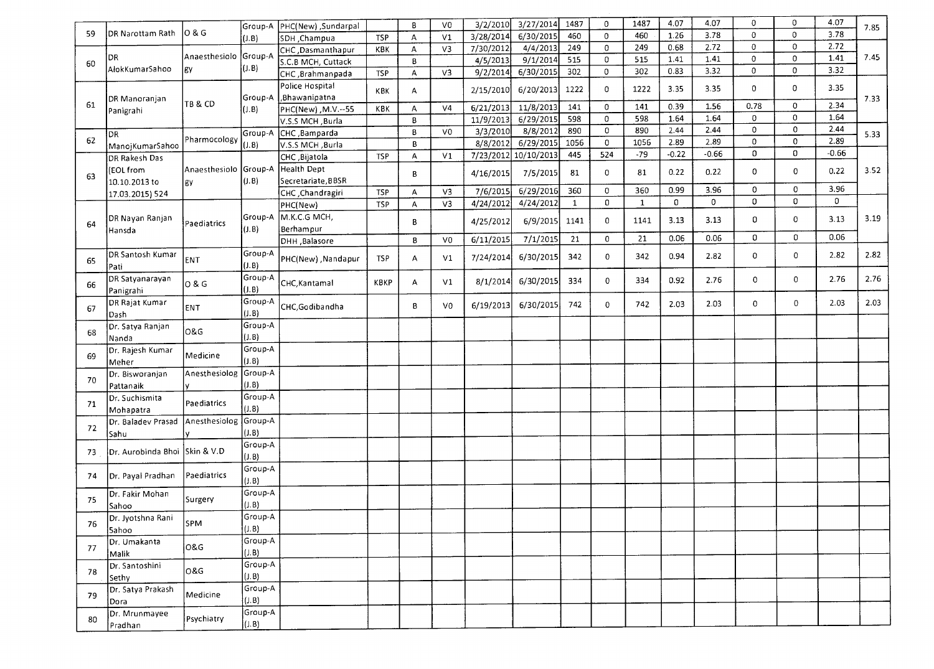|     |                                  |                    | Group-A          | PHC(New), Sundarpal |            | 8 | V <sub>0</sub> | 3/2/2010  | 3/27/2014  | 1487         | $\mathbf 0$    | 1487         | 4.07    | 4.07    | 0           | 0            | 4.07         | 7.85 |
|-----|----------------------------------|--------------------|------------------|---------------------|------------|---|----------------|-----------|------------|--------------|----------------|--------------|---------|---------|-------------|--------------|--------------|------|
| 59  | DR Narottam Rath                 | 10 & G             | (J.B)            | SDH , Champua       | <b>TSP</b> | Α | V1             | 3/28/2014 | 6/30/2015  | 460          | $\overline{0}$ | 460          | 1.26    | 3.78    | $\mathbf 0$ | $\mathbf{0}$ | 3.78         |      |
|     |                                  |                    |                  | CHC ,Dasmanthapur   | KBK        | A | V3             | 7/30/2012 | 4/4/2013   | 249          | $\mathbf 0$    | 249          | 0.68    | 2.72    | $\mathbf 0$ | 0            | 2.72         |      |
|     | DR                               | Anaesthesiolo      | Group-A          | S.C.B MCH, Cuttack  |            | B |                | 4/5/2013  | 9/1/2014   | 515          | $\mathbf 0$    | 515          | 1.41    | 1.41    | $\mathbf 0$ | $\mathbf 0$  | 1.41         | 7.45 |
| 60  | AlokKumarSahoo                   | lgy                | (J.B)            | CHC, Brahmanpada    | TSP        | A | V3             | 9/2/2014  | 6/30/2015  | 302          | $\mathbf 0$    | 302          | 0.83    | 3.32    | $\mathbf 0$ | $\mathbf 0$  | 3.32         |      |
|     |                                  |                    |                  | Police Hospital     |            |   |                |           |            |              |                |              |         |         |             |              |              |      |
|     |                                  |                    | Group-A          | Bhawanipatna        | KBK        | A |                | 2/15/2010 | 6/20/2013  | 1222         | $\mathbf{0}$   | 1222         | 3.35    | 3.35    | 0           | $\mathbf{0}$ | 3.35         |      |
| 61  | DR Manoranjan                    | <b>TB &amp; CD</b> | J.B              | PHC(New), M.V.--55  | KBK        | A | V <sub>4</sub> | 6/21/2013 | 11/8/2013  | 141          | $\mathbf 0$    | 141          | 0.39    | 1.56    | 0.78        | $\mathbf 0$  | 2.34         | 7.33 |
|     | Panigrahi                        |                    |                  | V.S.S MCH, Burla    |            | В |                | 11/9/2013 | 6/29/2015  | 598          | $\mathbf 0$    | 598          | 1.64    | 1.64    | $\mathbf 0$ | $\mathbf 0$  | 1.64         |      |
|     |                                  |                    | Group-A          | CHC, Bamparda       |            | B | V <sub>0</sub> | 3/3/2010  | 8/8/2012   | 890          | $\mathbf 0$    | 890          | 2.44    | 2.44    | $\mathbf 0$ | 0            | 2.44         |      |
| 62  | DR)                              | Pharmocology       |                  | V.S.S MCH, Burla    |            | B |                | 8/8/2012  | 6/29/2015  | 1056         | $\overline{0}$ | 1056         | 2.89    | 2.89    | $\mathbf 0$ | 0            | 2.89         | 5.33 |
|     | ManojKumarSahoo                  |                    | $($ J.B $)$      |                     | <b>TSP</b> | А | V <sub>1</sub> | 7/23/2012 | 10/10/2013 | 445          | 524            | $-79$        | $-0.22$ | $-0.66$ | 0           | 0            | $-0.66$      |      |
|     | DR Rakesh Das                    |                    |                  | CHC, Bijatola       |            |   |                |           |            |              |                |              |         |         |             |              |              |      |
| 63  | (EOL from                        | Anaesthesiolo      | Group-A          | Health Dept         |            | В |                | 4/16/2015 | 7/5/2015   | 81           | $\mathbf 0$    | 81           | 0.22    | 0.22    | 0           | $\mathbf 0$  | 0.22         | 3.52 |
|     | 10.10.2013 to                    | lgy.               | (J.B)            | Secretariate, BBSR  |            |   |                |           | 6/29/2016  | 360          | $\overline{0}$ | 360          | 0.99    | 3.96    | $\mathbf 0$ | 0            | 3.96         |      |
|     | 17.03.2015) 524                  |                    |                  | CHC, Chandragiri    | <b>TSP</b> | А | V3             | 7/6/2015  |            |              | 0              |              | 0       | 0       | 0           | 0            | $\mathbf{0}$ |      |
|     |                                  |                    |                  | PHC(New)            | <b>TSP</b> | А | V <sub>3</sub> | 4/24/2012 | 4/24/2012  | $\mathbf{1}$ |                | $\mathbf{1}$ |         |         |             |              |              |      |
| 64  | DR Nayan Ranjan                  | Paediatrics        | Group-A          | M.K.C.G MCH,        |            | В |                | 4/25/2012 | 6/9/2015   | 1141         | $\mathbf 0$    | 1141         | 3.13    | 3.13    | 0           | 0            | 3.13         | 3.19 |
|     | Hansda                           |                    | (J.B)            | Berhampur           |            |   |                |           |            |              |                |              |         |         |             |              |              |      |
|     |                                  |                    |                  | DHH, Balasore       |            | 8 | V <sub>0</sub> | 6/11/2015 | 7/1/2015   | 21           | $\mathbf 0$    | 21           | 0.06    | 0.06    | $\mathbf 0$ | 0            | 0.06         |      |
| 65  | DR Santosh Kumar<br>Pati         | ENT                | Group-A<br>(J.B) | PHC(New), Nandapur  | <b>TSP</b> | A | V1             | 7/24/2014 | 6/30/2015  | 342          | 0              | 342          | 0.94    | 2.82    | 0           | 0            | 2.82         | 2.82 |
| 66  | DR Satyanarayan                  | 0 & G              | Group-A          | CHC, Kantamal       | KBKP       | A | V1             | 8/1/2014  | 6/30/2015  | 334          | $\mathbf 0$    | 334          | 0.92    | 2.76    | 0           | 0            | 2.76         | 2.76 |
|     | Panigrahi                        |                    | (J.B)            |                     |            |   |                |           |            |              |                |              |         |         |             |              |              |      |
| 67  | DR Rajat Kumar<br>Dash           | ENT                | Group-A<br>(1.8) | CHC, Godibandha     |            | 8 | V0             | 6/19/2013 | 6/30/2015  | 742          | $\mathbf{0}$   | 742          | 2.03    | 2.03    | 0           | 0            | 2.03         | 2.03 |
|     | Dr. Satya Ranjan                 |                    | Group-A          |                     |            |   |                |           |            |              |                |              |         |         |             |              |              |      |
| 68  | Nanda                            | <b>O&amp;G</b>     | (1.8)            |                     |            |   |                |           |            |              |                |              |         |         |             |              |              |      |
|     | Dr. Rajesh Kumar                 |                    | Group-A          |                     |            |   |                |           |            |              |                |              |         |         |             |              |              |      |
| 69  | Meher                            | Medicine           | (0.8)            |                     |            |   |                |           |            |              |                |              |         |         |             |              |              |      |
|     | Dr. Bisworanjan                  | Anesthesiolog      | Group-A          |                     |            |   |                |           |            |              |                |              |         |         |             |              |              |      |
| 70  | Pattanaik                        |                    | (0.8)            |                     |            |   |                |           |            |              |                |              |         |         |             |              |              |      |
|     | Dr. Suchismita                   |                    | Group-A          |                     |            |   |                |           |            |              |                |              |         |         |             |              |              |      |
| 71  | Mohapatra                        | Paediatrics        | (1.8)            |                     |            |   |                |           |            |              |                |              |         |         |             |              |              |      |
|     | Dr. Baladev Prasad Anesthesiolog |                    | Group-A          |                     |            |   |                |           |            |              |                |              |         |         |             |              |              |      |
| 72  | Sahu                             |                    | (J.B)            |                     |            |   |                |           |            |              |                |              |         |         |             |              |              |      |
|     |                                  |                    | Group-A          |                     |            |   |                |           |            |              |                |              |         |         |             |              |              |      |
| 73  | Dr. Aurobinda Bhoi Skin & V.D    |                    | (J.B)            |                     |            |   |                |           |            |              |                |              |         |         |             |              |              |      |
|     |                                  |                    | Group-A          |                     |            |   |                |           |            |              |                |              |         |         |             |              |              |      |
| 74  | Dr. Payal Pradhan                | Paediatrics        | (3.B)            |                     |            |   |                |           |            |              |                |              |         |         |             |              |              |      |
|     | Dr. Fakir Mohan                  |                    | Group-A          |                     |            |   |                |           |            |              |                |              |         |         |             |              |              |      |
| 75  |                                  | Surgery            | (1, B)           |                     |            |   |                |           |            |              |                |              |         |         |             |              |              |      |
|     | Sahoo                            |                    | Group-A          |                     |            |   |                |           |            |              |                |              |         |         |             |              |              |      |
| 76  | Dr. Jyotshna Rani                | spm                |                  |                     |            |   |                |           |            |              |                |              |         |         |             |              |              |      |
|     | <b>Sahoo</b>                     |                    | (1, B)           |                     |            |   |                |           |            |              |                |              |         |         |             |              |              |      |
| 77  | Dr. Umakanta                     | <b>O&amp;G</b>     | Group-A          |                     |            |   |                |           |            |              |                |              |         |         |             |              |              |      |
|     | Malik                            |                    | (J.B)            |                     |            |   |                |           |            |              |                |              |         |         |             |              |              |      |
| 78  | Dr. Santoshini                   | O&G                | Group-A          |                     |            |   |                |           |            |              |                |              |         |         |             |              |              |      |
|     | Sethy                            |                    | (1.8)            |                     |            |   |                |           |            |              |                |              |         |         |             |              |              |      |
| 79  | Dr. Satya Prakash                | Medicine           | Group-A          |                     |            |   |                |           |            |              |                |              |         |         |             |              |              |      |
|     | Dora                             |                    | (1, B)           |                     |            |   |                |           |            |              |                |              |         |         |             |              |              |      |
| -80 | Dr. Mrunmayee                    | Psychiatry         | Group-A          |                     |            |   |                |           |            |              |                |              |         |         |             |              |              |      |
|     | Pradhan                          |                    | (1.8)            |                     |            |   |                |           |            |              |                |              |         |         |             |              |              |      |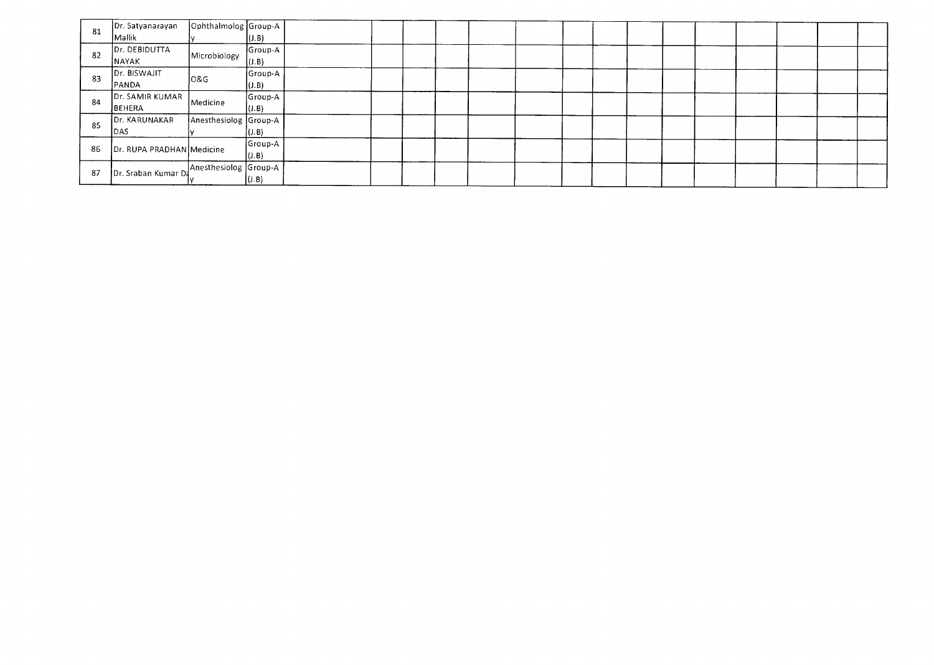| 81 | Dr. Satyanarayan          | Ophthalmolog Group-A  |             |  |  |  |  |  |  |  |  |
|----|---------------------------|-----------------------|-------------|--|--|--|--|--|--|--|--|
|    | Mallik                    |                       | (1.B)       |  |  |  |  |  |  |  |  |
| 82 | Dr. DEBIDUTTA             | Microbiology          | Group-A     |  |  |  |  |  |  |  |  |
|    | NAYAK                     |                       | $($ J.B $)$ |  |  |  |  |  |  |  |  |
| 83 | Dr. BISWAJIT              | <b>O&amp;G</b>        | Group-A     |  |  |  |  |  |  |  |  |
|    | PANDA                     |                       | (J.B)       |  |  |  |  |  |  |  |  |
| 84 | Dr. SAMIR KUMAR           | Medicine              | Group-A     |  |  |  |  |  |  |  |  |
|    | <b>JBEHERA</b>            |                       | (J.B)       |  |  |  |  |  |  |  |  |
| 85 | Dr. KARUNAKAR             | Anesthesiolog Group-A |             |  |  |  |  |  |  |  |  |
|    | DAS                       |                       | (J.B)       |  |  |  |  |  |  |  |  |
| 86 | Dr. RUPA PRADHAN Medicine |                       | Group-A     |  |  |  |  |  |  |  |  |
|    |                           |                       | (J.B)       |  |  |  |  |  |  |  |  |
| 87 | Dr. Sraban Kumar Da       | Anesthesiolog Group-A |             |  |  |  |  |  |  |  |  |
|    |                           |                       | (J.B)       |  |  |  |  |  |  |  |  |

 $\label{eq:2.1} \frac{1}{2} \int_{\mathbb{R}^3} \frac{1}{\sqrt{2}} \, \frac{1}{\sqrt{2}} \, \frac{1}{\sqrt{2}} \, \frac{1}{\sqrt{2}} \, \frac{1}{\sqrt{2}} \, \frac{1}{\sqrt{2}} \, \frac{1}{\sqrt{2}} \, \frac{1}{\sqrt{2}} \, \frac{1}{\sqrt{2}} \, \frac{1}{\sqrt{2}} \, \frac{1}{\sqrt{2}} \, \frac{1}{\sqrt{2}} \, \frac{1}{\sqrt{2}} \, \frac{1}{\sqrt{2}} \, \frac{1}{\sqrt{2}} \, \frac{1}{\sqrt{2}} \,$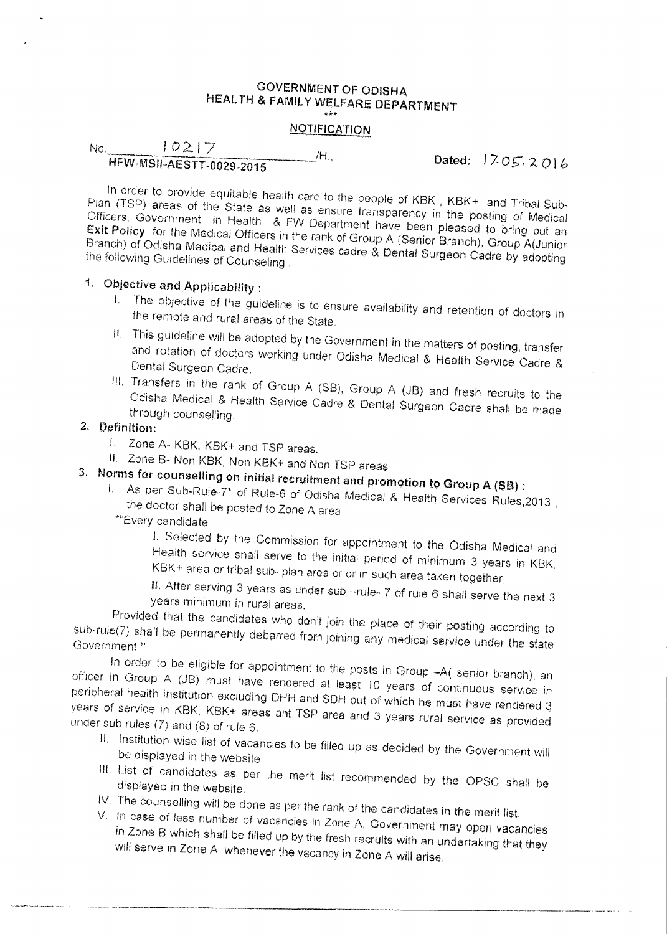#### GOVERNMENT OF ODISHA HEALTH & FAMILY WELFARE DEPARTMENT \*\*\*

### **NOTIFICATION**

 $No.$   $10217$  $H = \frac{1000 \text{ m/s}^2}{1705.2016}$  MSII-AFSTT-0029-2016

In order to provide equitable health care to the people of KBK , KBK+ and Tribal Sub-Plan (TSP) areas of the State as well as ensure transparency in the posting of Medical Officers, Government in Health & FW Department have been pleased to bring out an Exit Policy for the Medical Officers in the rank of Group A (Senior Branch), Group A(Junior Branch) of Odisha Medical and Health Services cadre & Dental Surgeon Cadre by adopting the following Guidelines of Counseling

# 1. Objective and Applicability :

- I. The objective of the guideline is to ensure availability and retention of doctors in the remote and rural areas of the State.
- II. This guideline will be adopted by the Government in the matters of posting, transfer and rotation of doctors working under Odisha Medical & Health Service Cadre & Dental Surgeon Cadre.
- III, Transfers in the rank of Group A (SB), Group A (JB) and fresh recruits to the Odisha Medical & Health Service Cadre & Dental Surgeon Cadre shall be made through counselling.

## 2. Definition:

- Zone A- KBK, KBK+ and TSP areas.
- II. Zone B- Non KBK, Non KBK+ and Non TSP areas
- 3. Norms for counselling on initial recruitment and promotion to Group A (SB) :
	- I. A\$ per Sub-Rule-7\* of Rule-6 of Odisha Medical & Health Services Rules,2013 , the doctor shall be posted to Zone A area
		- 'Every candidate

I. Selected by the Commission for appointment to the Odisha Medical and Health service shall serve to the initial period of minimum 3 years in KBK, KBK+ area or tribal sub- plan area or or in such area taken together;

U. After serving 3 years as under sub —rule- 7 of rule 6 shall serve the next 3 years minimum in rural areas.

Provided that the candidates who don't join the place of their posting according to sub-rule(7) shall be permanently debarred from joining any medical service under the state

In order to be eligible for appointment to the posts in Group -- A( senior branch), an officer in Group A (JB) must have rendered at least 10 years of continuous service in peripheral health institution excluding DHH and SOH out of which he must have rendered 3 years of service in KBK. KBK+ areas ant TSP area and 3 years rural service as provided under sub rules (7) and (8) of rule 8.

- II. Institution wise list of vacancies to be filled up as decided by the Government will be displayed in the website.
- III. List of candidates as per the merit list recommended by the OPSC shall be displayed in the website. IV. The counselling will be done as per the rank of the candidates in the merit list.
- 
- V. In case of less number of vacancies in Zone A. Government may open vacancie in Zone B which shall be filled up by the fresh recruits with an undertaking that they will serve in Zone A whenever the vacancy in Zone A will arise,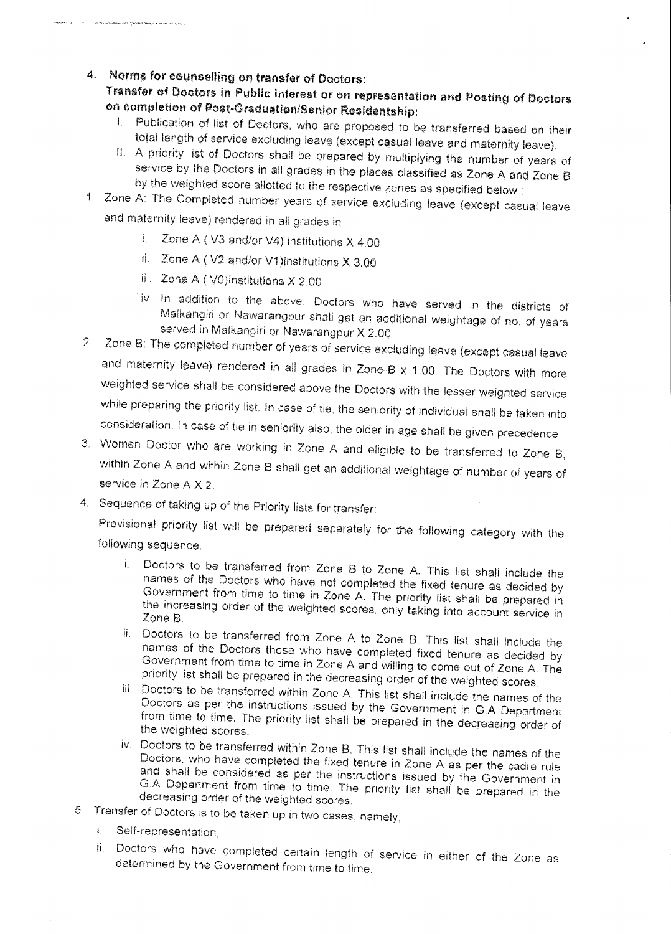**4. Norms for counselling on transfer of Doctors:** 

**Transfer of Doctors in Public interest or on representation end Posting of Doctors on completion of Poet-Graduation/Senior 'Residentship:** 

- **I. Publication** pf list of Dootore, who are proposed to be transferred based on their total length of service excluding leave (except casual leave and maternity leave),
- II. A priority list of Doctors shall be prepared by multiplying the number of years of service by the Doctors in all grades in the places classified as Zone A and Zone B by the weighted score allotted to the respective zones as specified below :
- 1, Zone A: The Completed number years of eervice excluding leave (except casual leave and maternity leave) rendered in all grades in
	- i. Zone A (V3 and/or V4) institutions X 4.00
	- Zone A ( V2 and/or V1)institutions X 3.00
	- iii. Zone A ( V0)institutions X 2.00
	- iv In addition to the above. Doctors who have served in the districts of Malkangiri or Nawarangpur shall get an additional weightage of no, of years served in Maikangiri or Nawarangpur X 2.00
- 2. Zone B: The completed number of years of service excluding leave (except casual leave and maternity leave) rendered in all grades in Zone-B  $x$  1.00. The Doctors with more weighted service shall be considered above the Doctors with the lesser weighted service while preparing the priority list. In case of tie, the seniority of individual shall be taken into consideration. In case of tie in seniority also, the older in age shell be given precedence.
- 3. Women Doctor who are working in Zone A and eligible to be transferred to Zone B, within Zone A and within Zone B shall get an additional weightage of number of years of service in Zone A X *2.*
- 4. Sequence of taking up of the Priority lists for transfer:

Provisional priority list will be prepared separately for the following category with the following sequence.

- i. Doctors to be transferred from Zone B to Zone A. This list shall include the names of the Doctors who have not completed the fixed tenure as decided by Government from time to time in Zone A. The priority list shall be prepared in the increasing order of the weighted scores, only taking into account service in Zone B.
- ii. Doctors to be transferred from Zone A to Zone B. This list shall include the names of the Doctors those who have completed fixed tenure as decided by Government from time to time in Zone A and willing to come out of Zone A. The priority list shall be prepared in the decreasing order of the weighted scores,
- iii. Doctors to be transferred within Zone A. This list shall include the names of the Doctors as per the instructions issued by the Government in G.A Department from time to time. The priority list shall be prepared in the decreasing order of the weighted scores.
- iv, Doctors to be transferred within Zone **B.** This list shall include the names of the Doctors, who have completed the fixed tenure in Zone A as per the cadre rule and shall be considered as per the instructions issued by the Government in G.A. Department from time to time. The priority list shall be prepared in the decreasing order of the weighted scores.
- 5. Transfer of Doctors is to be taken up in two cases, namely,
	- i. Self-representation,
	- ii. Doctors who have completed certain length of service in either of the Zone as determined by the Government from time to time.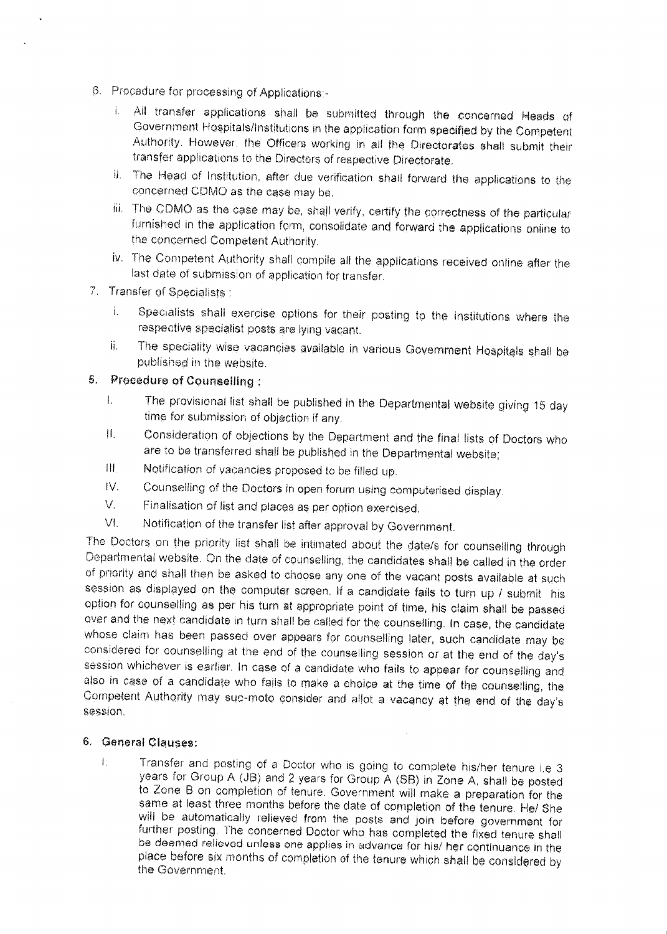- Procedure for processing of Applications:-
	- I. All transfer applications shall be submitted through the concerned Heads of Government Hospitals/Institutions in the application form specified by the Competent Authority. However, the Officers working in all the Directorates shall submit their transfer applications to the Directors of respective Directorate.
	- ii. The Head of Institution, after due verification shall forward the applications to the concerned CDMO as the case may be.
	- iii. The CDMO as the case may be, shall verify, certify the correctness of the particular furnished in the application form, consolidate and forward the applications online to the concerned Competent Authority.
	- iv. The Competent Authority shall compile all the applications received online after the last date of submission of application for transfer.
- 7. Transfer of Specialists
	- i. Specialists shall exercise options for their posting to the institutions where the respective specialist posts are lying vacant.
	- ii. The speciality wise vacancies available in various Government Hospitals shall be published in the website.

### 5. Procedure of Counselling

- The provisional list shall be published in the Departmental website giving 15 day  $\mathbf{L}$ time for submission of objection if any,
- Consideration of objections by the Department and the final lists of Doctors who  $\mathbf{H}$ are to be transferred shall be published in the Departmental website;
- III. Notification of vacancies proposed to be filled up.
- IV. Counselling of the Doctors in open forum using computerised display.
- V. Finalisation of list and places as per option exercised.
- VI. Notification of the transfer list after approval by Government.

The Doctors on the priority list shall be intimated about the date/s for counselling through Departmental website. On the date of counselling, the candidates shall be called in the order of priority and shall then he asked to choose any one of the vacant posts available at such session as displayed on the computer screen. If a candidate fails to turn up / submit his option for counselling as per his turn at appropriate point of time, his claim shall be passed over and the next candidate in turn shall be called for the counselling. In case, the candidate whose claim has been passed over appears for counselling later, such candidate may be considered for counselling at the end of the counselling session or at the end of the day's session whichever is earlier. In case of a candidate who fails to appear for counselling and also in case of a candidate who fails to make a choice at the time of the counselling, the Competent Authority may suc., rnoto consider and allot a vacancy at the end of the day's session.

### 5. general Clauses:

Transfer and posting of a Doctor who is going to complete his/her tenure i.e 3  $\mathbf{L}$ years for Group A (JB) and 2 years for Group A (SB) in Zone A, shall be posted to Zone B on completion of tenure. Government will make a preparation for the same at least three months before the date of completion of the tenure. He/ She will be automatically relieved from the posts and join before government for further posting. The concerned Doctor who has completed the fixed tenure shall be deemed relieved unless one applies in advance for his/ her continuance in the place before six months of completion of the tenure which shall be considered by the Government,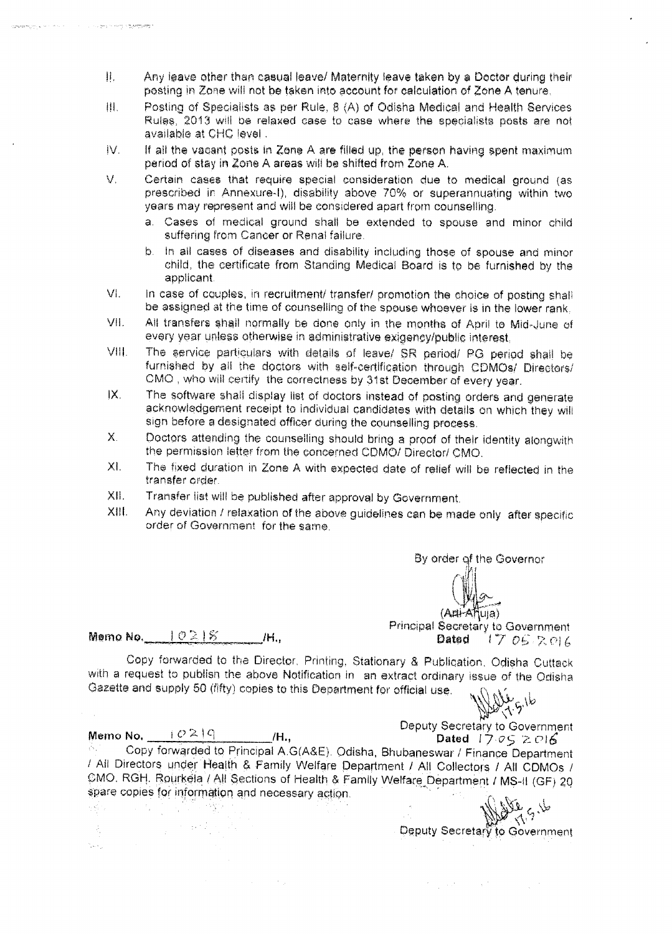- $\mathbf{II}$ . Any leave other than casual leave/ Maternity leave taken by a Doctor during their posting in Zone will not be taken into account for calculation of Zone A tenure,
- 排。 Posting of Specialists as per Rule, 8 (A) of Odisha Medical and Health Services Rules, 2013 will be relaxed case to case where the specialists posts are not available at CHC level.
- $IV.$  If all the vacant posts in Zone A are filled up, the person having spent maximum period of stay in Zone A areas will be shifted from Zone A.
- *V.* Certain cases that require special consideration due to medical ground (as prescribed in Annexure-I), disability above 70% or superannuating within two years may represent and will be considered apart from counselling.
	- a. Cases of medical ground shall be extended to spouse and minor child suffering from Cancer or Renal failure.
	- b. In all cases of diseases and disability including those of spouse and minor child, the certificate from Standing Medical Board is to be furnished by the applicant.
- VI. In case of couples, in recruitment/ transfer/ promotion the choice of posting shall be assigned at the time of counselling of the spouse whoever is in the lower rank,
- VII. All transfers shall normally be done only in the months of April to Mid-June of every year unless otherwise in administrative exigency/public interest,
- VIII. The service particulars with details of leave/ SR period/ PG period shall be furnished by all the doctors with self -certification through CDMOs/ Directors/ CMG , who will certify the correctness by 31st December of every year.
- IX. The software shall display list of doctors instead of posting orders and generate acknowledgement receipt to individual candidates with details on which they will sign before a designated officer during the counselling process.
- X. Doctors attending the counselling should bring a proof of their identity alongwith the permission letter from the concerned CDMO/ Director/ CMO.
- XI. The fixed duration in Zone A with expected date of relief will be reflected in the transfer order.
- XII. Transfer list will be published after approval by Government.
- XIII. Any deviation / relaxation of the above guidelines can be made only after specific order of Government for the same.

By order of the Governor

 $(A\mu+A\|u\|a)$ 

Principal Secretary to Government<br>2 Dated = 1.7 DAD 2 017  $17052016$ 

Memo No,  $10\geq 15$  H.

Copy forwarded to the Director, Printing, Stationary & Publication, Odisha Cuttack with a request to publish the above Notification in an extract ordinary issue of the Odisha Gazette and supply 50 (fifty) copies to this Department for official use.

 $\label{eq:2} \mathcal{L}=\frac{1}{2}\left(\frac{1}{2}-\frac{1}{2}\right)$ 

도원 (2)

 $\mathcal{E}_\star$ tica. Line Stor

 $\frac{1}{\sqrt{2}}\left[1-\frac{1}{2}\left(\frac{1}{2}\right)\frac{1}{2}\right]\left(\frac{1}{2}\right)\left(\frac{1}{2}\right)\left(\frac{1}{2}\right)\left(\frac{1}{2}\right)\left(\frac{1}{2}\right)\left(\frac{1}{2}\right)\left(\frac{1}{2}\right)\left(\frac{1}{2}\right)\left(\frac{1}{2}\right)\left(\frac{1}{2}\right)\left(\frac{1}{2}\right)\left(\frac{1}{2}\right)\left(\frac{1}{2}\right)\left(\frac{1}{2}\right)\left(\frac{1}{2}\right)\left(\frac{1}{2}\right)\left(\frac{1}{2}\right)\left(\frac{1}{2}\right)\left$ 

المستحدث والمستريم والمتواريخ

a long and in more is to sitte any

Deputy Secretary to Government<br>Dated  $17.05 \ge 016$ 

Memo No.  $\frac{10.219}{0.000 \times 10^{10}}$  /H., Copy forwarded to Principal A.G(A&E). Odisha, Bhubaneswar / Finance Department / All Directors under Health & Family Welfare Department / All Collectors / All CDMOs / CMO. RGH, Routkela / All Sections of Health & Family Welfare Department / MS-II (GF) 20 spare copies for information and necessary action

 $\sim$   $^{-1}$ 

Deputy Secretary to Government

 $\mathcal{F}(\mathcal{E}_1)$  and  $\mathcal{F}(\mathcal{E}_2)$  and  $\mathcal{F}(\mathcal{E}_1)$  are  $\mathcal{E}(\mathcal{E}_2)$  .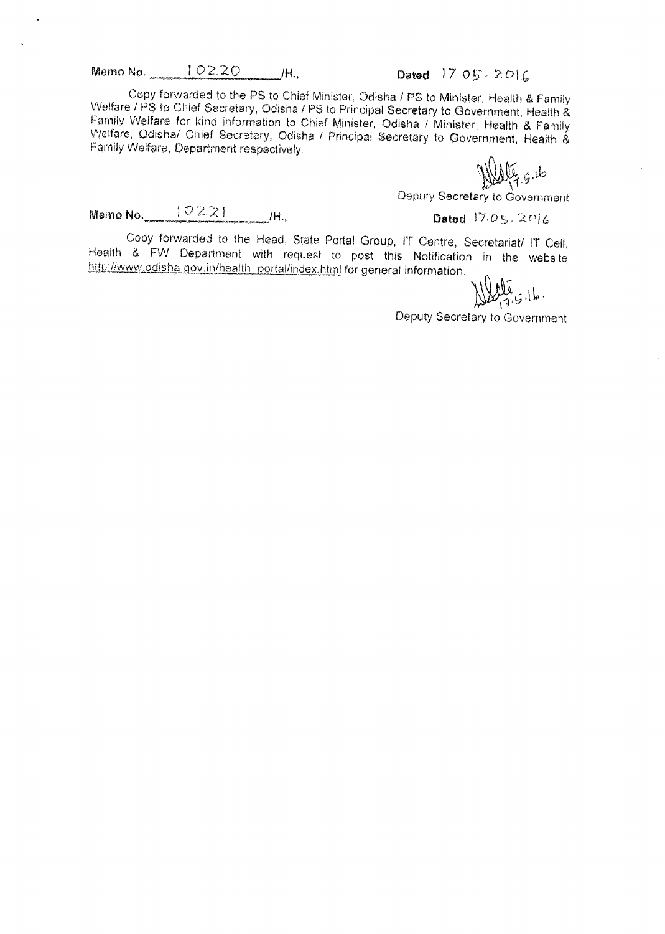Memo No.  $10220$  /H., Dated 17 05 - 2016

Copy forwarded to the PS to Chief Minister, Odisha / PS to Minister, Health & Family Welfare / PS to Chief Secretary, Odisha / PS to Principal Secretary to Government, Health & Family Welfare for kind information to Chief Minister, Odisha / Minister, Health & Family Welfare, Odisha/ Chief Secretary, Odisha / Principal Secretary to Government, Health & Family Welfare, Department respectively.

Walter 5.16

Deputy Secretary to Government

Memo No.

Dated  $705.2016$ 

Copy forwarded to the Head, State Portal Group, IT Centre, Secretariat/ IT Cell, Health & FW Department with request to post this Notification in the website http://www.odisha.gov.in/health\_portal/index.html for general information.

إلى عَلَلا

Deputy Secretary to Government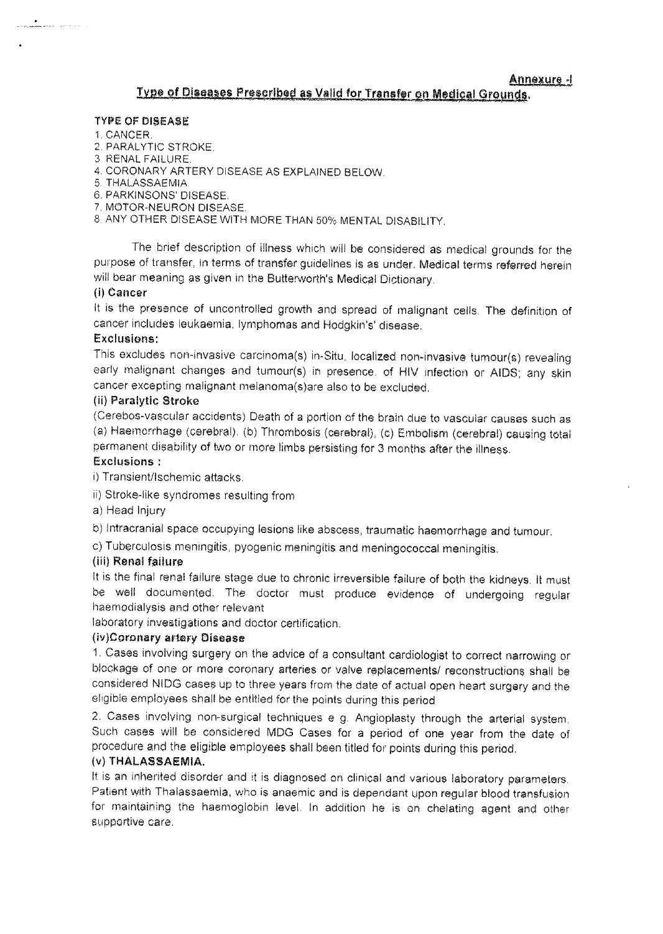#### TYPE OF DISEASE

1. CANCER.

**a**<br><del>General Alexandro II</del>

- 2. PARALYTIC STROKE.
- 3 RENAL FAILURE.
- 4. CORONARY ARTERY DISEASE AS EXPLAINED BELOW.
- 5 THALASSAEMIA.
- 6. PARKINSONS' DISEASE.
- 7. MOTOR-NEURON DISEASE.
- 8 ANY OTHER DISEASE WITH MORE THAN 50% MENTAL DISABILITY.

The brief description of illness which will be considered as medical grounds for the purpose of transfer, in terms of transfer guidelines is as under. Medical terms referred herein will bear meaning as given in the Butterworth's Medical Dictionary.

#### (i)Cancer

It is the presence of uncontrolled growth and spread of malignant cells. The definition of cancer includes leukaemia, lymphomas and Hodgkin's' disease.

#### Exclusions:

This excludes non-invasive carcinoma(s) in-Situ, localized non-invasive tumour(s) revealing early malignant changes and tumour(s) in presence. of HIV infection or AIDS; any ekin cancer excepting malignant melanoma(s)are also to be excluded.

#### (ii) Paralytic Stroke

(Cerebos-vaecular accidents) Death of a portion of the brain due to vascular Causes such as (a) Haemorrhage (cerebral), (b) Thrombosis (cerebral), (c) Embolism (cerebral) causing total permanent disability of two or more limbs persisting for 3 months after the illness.

### Exclusions:

i) Trensient/lschemic attacks.

ii) Stroke-like syndromes resulting from

a) Head Injury

b) Intraoranial space occupying lesions like abscess, traumatic haemerrhage and tumour.

c) Tuberculosis meningitis, pyogenic meningitis and meningococcal meningitis.

#### (iii) Renal failure

It is the final renal failure stage due to chronic irreversible failure of both the kidneys. It must be well documented. The doctor must produce evidence of undergoing regular haemodialysis and other relevant

laboratory investigations and doctor certification.

#### (iv)Coronary artery pisease

1. Cases involving surgery on the advice of a consultant cardiologist to correct narrowing or blockage of one or more coronary arteries or valve replacements/ reconstructions shall be considered NIDG cases up to three years from the date of actual open heart surgery and the eligible employees shall be entitled for the points during this period

2. Cases involving non-surgical techniques e g. Angioplasty through the arterial system. Such cases will be considered MDG Cases for a period of one year from the date of procedure and the eligible employees shall been titled for points during this period.

#### (v) THALASSAEMIA.

It is an inherited disorder and it is diagnosed on clinical and various laboratory parameters. Patient with Thalassaemia, who is anaemic end is dependant upon reguler blood transfusion for maintaining the haemoglobin level. In addition he is on chelating agent and other supportive care.